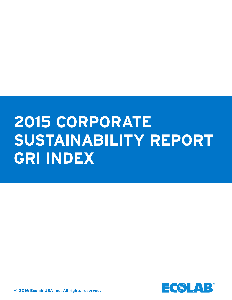# **2015 CORPORATE SUSTAINABILITY REPORT GRI INDEX**



**© 2016 Ecolab USA Inc. All rights reserved.**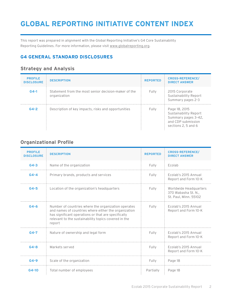### **GLOBAL REPORTING INITIATIVE CONTENT INDEX**

This report was prepared in alignment with the Global Reporting Initiative's G4 Core Sustainability Reporting Guidelines. For more information, please visit [www.globalreporting.org.](http://www.globalreporting.org)

#### **G4 GENERAL STANDARD DISCLOSURES**

#### **Strategy and Analysis**

| <b>PROFILE</b><br><b>DISCLOSURE</b> | <b>DESCRIPTION</b>                                                   | <b>REPORTED</b> | <b>CROSS-REFERENCE/</b><br><b>DIRECT ANSWER</b>                                                           |
|-------------------------------------|----------------------------------------------------------------------|-----------------|-----------------------------------------------------------------------------------------------------------|
| $G4 - 1$                            | Statement from the most senior decision-maker of the<br>organization | Fully           | 2015 Corporate<br>Sustainability Report<br>Summary pages 2-3                                              |
| $G4-2$                              | Description of key impacts, risks and opportunities                  | Fully           | Page 18, 2015<br>Sustainability Report<br>Summary pages 3-42,<br>and CDP submission<br>sections 2.5 and 6 |

#### **Organizational Profile**

| <b>PROFILE</b><br><b>DISCLOSURE</b> | <b>DESCRIPTION</b>                                                                                                                                                                                                                   | <b>REPORTED</b> | <b>CROSS-REFERENCE/</b><br><b>DIRECT ANSWER</b>                        |
|-------------------------------------|--------------------------------------------------------------------------------------------------------------------------------------------------------------------------------------------------------------------------------------|-----------------|------------------------------------------------------------------------|
| $G4 - 3$                            | Name of the organization                                                                                                                                                                                                             | Fully           | Ecolab                                                                 |
| $G4 - 4$                            | Primary brands, products and services                                                                                                                                                                                                | Fully           | Ecolab's 2015 Annual<br>Report and Form 10-K                           |
| $G4-5$                              | Location of the organization's headquarters                                                                                                                                                                                          | Fully           | Worldwide Headquarters<br>370 Wabasha St. N.,<br>St. Paul, Minn. 55102 |
| $G4-6$                              | Number of countries where the organization operates<br>and names of countries where either the organization<br>has significant operations or that are specifically<br>relevant to the sustainability topics covered in the<br>report | Fully           | Ecolab's 2015 Annual<br>Report and Form 10-K                           |
| $G4-7$                              | Nature of ownership and legal form                                                                                                                                                                                                   | Fully           | Ecolab's 2015 Annual<br>Report and Form 10-K                           |
| $G4 - 8$                            | Markets served                                                                                                                                                                                                                       | Fully           | Ecolab's 2015 Annual<br>Report and Form 10-K                           |
| $G4-9$                              | Scale of the organization                                                                                                                                                                                                            | Fully           | Page 18                                                                |
| $G4-10$                             | Total number of employees                                                                                                                                                                                                            | Partially       | Page 18                                                                |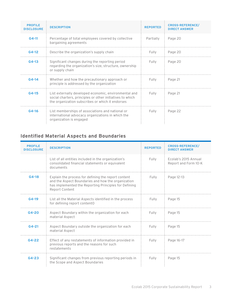| <b>PROFILE</b><br><b>DISCLOSURE</b> | <b>DESCRIPTION</b>                                                                                                                                                     | <b>REPORTED</b> | <b>CROSS-REFERENCE/</b><br><b>DIRECT ANSWER</b> |
|-------------------------------------|------------------------------------------------------------------------------------------------------------------------------------------------------------------------|-----------------|-------------------------------------------------|
| $G4 - 11$                           | Percentage of total employees covered by collective<br>bargaining agreements                                                                                           | Partially       | Page 20                                         |
| $G4-12$                             | Describe the organization's supply chain                                                                                                                               | Fully           | Page 20                                         |
| $G4-13$                             | Significant changes during the reporting period<br>regarding the organization's size, structure, ownership<br>or supply chain                                          | Fully           | Page 20                                         |
| $G4 - 14$                           | Whether and how the precautionary approach or<br>principle is addressed by the organization                                                                            | Fully           | Page 21                                         |
| $G4-15$                             | List externally developed economic, environmental and<br>social charters, principles or other initiatives to which<br>the organization subscribes or which it endorses | Fully           | Page 21                                         |
| $G4-16$                             | List memberships of associations and national or<br>international advocacy organizations in which the<br>organization is engaged                                       | Fully           | Page 22                                         |

#### **Identified Material Aspects and Boundaries**

| <b>PROFILE</b><br><b>DISCLOSURE</b> | <b>DESCRIPTION</b>                                                                                                                                                                   | <b>REPORTED</b> | <b>CROSS-REFERENCE/</b><br><b>DIRECT ANSWER</b> |
|-------------------------------------|--------------------------------------------------------------------------------------------------------------------------------------------------------------------------------------|-----------------|-------------------------------------------------|
|                                     | List of all entities included in the organization's<br>consolidated financial statements or equivalent<br>documents                                                                  | Fully           | Ecolab's 2015 Annual<br>Report and Form 10-K    |
| $G4-18$                             | Explain the process for defining the report content<br>and the Aspect Boundaries and how the organization<br>has implemented the Reporting Principles for Defining<br>Report Content | Fully           | Page 12-13                                      |
| G4-19                               | List all the Material Aspects identified in the process<br>for defining report contentO                                                                                              | Fully           | Page 15                                         |
| G4-20                               | Aspect Boundary within the organization for each<br>material Aspect                                                                                                                  | Fully           | Page 15                                         |
| $G4 - 21$                           | Aspect Boundary outside the organization for each<br>material Aspect                                                                                                                 | Fully           | Page 15                                         |
| $G4 - 22$                           | Effect of any restatements of information provided in<br>previous reports and the reasons for such<br>restatements                                                                   | Fully           | Page 16-17                                      |
| $G4 - 23$                           | Significant changes from previous reporting periods in<br>the Scope and Aspect Boundaries                                                                                            | Fully           | Page 15                                         |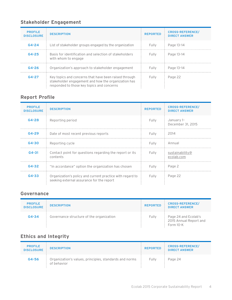#### **Stakeholder Engagement**

| <b>PROFILE</b><br><b>DISCLOSURE</b> | <b>DESCRIPTION</b>                                                                                                                                         | <b>REPORTED</b> | <b>CROSS-REFERENCE/</b><br><b>DIRECT ANSWER</b> |
|-------------------------------------|------------------------------------------------------------------------------------------------------------------------------------------------------------|-----------------|-------------------------------------------------|
| $G4 - 24$                           | List of stakeholder groups engaged by the organization                                                                                                     | Fully           | Page 13-14                                      |
| $G4 - 25$                           | Basis for identification and selection of stakeholders<br>with whom to engage                                                                              | Fully           | Page 13-14                                      |
| $G4 - 26$                           | Organization's approach to stakeholder engagement                                                                                                          | Fully           | Page 13-14                                      |
| $G_4 - 27$                          | Key topics and concerns that have been raised through<br>stakeholder engagement and how the organization has<br>responded to those key topics and concerns | Fully           | Page 22                                         |

#### **Report Profile**

| <b>PROFILE</b><br><b>DISCLOSURE</b> | <b>DESCRIPTION</b>                                                                                     | <b>REPORTED</b> | <b>CROSS-REFERENCE/</b><br><b>DIRECT ANSWER</b> |
|-------------------------------------|--------------------------------------------------------------------------------------------------------|-----------------|-------------------------------------------------|
| $G4 - 28$                           | Reporting period                                                                                       | Fully           | January 1-<br>December 31, 2015                 |
| $G4 - 29$                           | Date of most recent previous reports                                                                   | Fully           | 2014                                            |
| $G4 - 30$                           | Reporting cycle                                                                                        | Fully           | Annual                                          |
| $G4 - 31$                           | Contact point for questions regarding the report or its<br>contents                                    | Fully           | sustainability@<br>ecolab.com                   |
| $G4 - 32$                           | "In accordance" option the organization has chosen                                                     | Fully           | Page 2                                          |
| $G4 - 33$                           | Organization's policy and current practice with regard to<br>seeking external assurance for the report | Fully           | Page 22                                         |

#### **Governance**

| <b>PROFILE</b><br><b>DISCLOSURE</b> | <b>DESCRIPTION</b>                       | <b>REPORTED</b> | <b>CROSS-REFERENCE/</b><br><b>DIRECT ANSWER</b>             |
|-------------------------------------|------------------------------------------|-----------------|-------------------------------------------------------------|
| $G4 - 34$                           | Governance structure of the organization | Fully           | Page 24 and Ecolab's<br>2015 Annual Report and<br>Form 10-K |

#### **Ethics and Integrity**

| <b>PROFILE</b><br><b>DISCLOSURE</b> | <b>DESCRIPTION</b>                                                    | <b>REPORTED</b> | <b>CROSS-REFERENCE/</b><br><b>DIRECT ANSWER</b> |
|-------------------------------------|-----------------------------------------------------------------------|-----------------|-------------------------------------------------|
| $G4 - 56$                           | Organization's values, principles, standards and norms<br>of behavior | Fully           | Page 24                                         |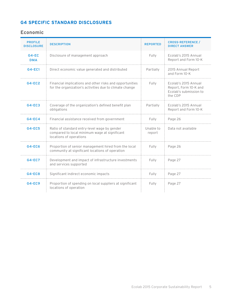#### **G4 SPECIFIC STANDARD DISCLOSURES**

#### **Economic**

| <b>PROFILE</b><br><b>DISCLOSURE</b> | <b>DESCRIPTION</b>                                                                                                       | <b>REPORTED</b>     | <b>CROSS-REFERENCE /</b><br><b>DIRECT ANSWER</b>                                   |
|-------------------------------------|--------------------------------------------------------------------------------------------------------------------------|---------------------|------------------------------------------------------------------------------------|
| $G4-EC$<br><b>DMA</b>               | Disclosure of management approach                                                                                        | Fully               | Ecolab's 2015 Annual<br>Report and Form 10-K                                       |
| $G4-EC1$                            | Direct economic value generated and distributed                                                                          | Partially           | 2015 Annual Report<br>and Form 10-K                                                |
| $G4-EC2$                            | Financial implications and other risks and opportunities<br>for the organization's activities due to climate change      | Fully               | Ecolab's 2015 Annual<br>Report, Form 10-K and<br>Ecolab's submission to<br>the CDP |
| $G4-EC3$                            | Coverage of the organization's defined benefit plan<br>obligations                                                       | Partially           | Ecolab's 2015 Annual<br>Report and Form 10-K                                       |
| $G4-EC4$                            | Financial assistance received from government                                                                            | Fully               | Page 26                                                                            |
| <b>G4-EC5</b>                       | Ratio of standard entry-level wage by gender<br>compared to local minimum wage at significant<br>locations of operations | Unable to<br>report | Data not available                                                                 |
| <b>G4-EC6</b>                       | Proportion of senior management hired from the local<br>community at significant locations of operation                  | Fully               | Page 26                                                                            |
| <b>G4-EC7</b>                       | Development and impact of infrastructure investments<br>and services supported                                           | Fully               | Page 27                                                                            |
| $G4 - ECB$                          | Significant indirect economic impacts                                                                                    | Fully               | Page 27                                                                            |
| $G4-EC9$                            | Proportion of spending on local suppliers at significant<br>locations of operation                                       | Fully               | Page 27                                                                            |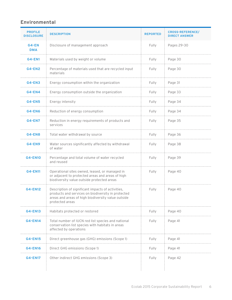#### **Environmental**

| <b>PROFILE</b><br><b>DISCLOSURE</b> | <b>DESCRIPTION</b>                                                                                                                                                               | <b>REPORTED</b> | <b>CROSS-REFERENCE/</b><br><b>DIRECT ANSWER</b> |
|-------------------------------------|----------------------------------------------------------------------------------------------------------------------------------------------------------------------------------|-----------------|-------------------------------------------------|
| G4-EN<br><b>DMA</b>                 | Disclosure of management approach                                                                                                                                                | Fully           | Pages 29-30                                     |
| <b>G4-EN1</b>                       | Materials used by weight or volume                                                                                                                                               | Fully           | Page 30                                         |
| $G4$ -EN2                           | Percentage of materials used that are recycled input<br>materials                                                                                                                | Fully           | Page 30                                         |
| $G4$ -EN3                           | Energy consumption within the organization                                                                                                                                       | Fully           | Page 31                                         |
| <b>G4-EN4</b>                       | Energy consumption outside the organization                                                                                                                                      | Fully           | Page 33                                         |
| <b>G4-EN5</b>                       | Energy intensity                                                                                                                                                                 | Fully           | Page 34                                         |
| <b>G4-EN6</b>                       | Reduction of energy consumption                                                                                                                                                  | Fully           | Page 34                                         |
| <b>G4-EN7</b>                       | Reduction in energy requirements of products and<br>services                                                                                                                     | Fully           | Page 35                                         |
| <b>G4-EN8</b>                       | Total water withdrawal by source                                                                                                                                                 | Fully           | Page 36                                         |
| <b>G4-EN9</b>                       | Water sources significantly affected by withdrawal<br>of water                                                                                                                   | Fully           | Page 38                                         |
| <b>G4-EN10</b>                      | Percentage and total volume of water recycled<br>and reused                                                                                                                      | Fully           | Page 39                                         |
| <b>G4-EN11</b>                      | Operational sites owned, leased, or managed in<br>or adjacent to protected areas and areas of high<br>biodiversity value outside protected areas                                 | Fully           | Page 40                                         |
| <b>G4-EN12</b>                      | Description of significant impacts of activities,<br>products and services on biodiversity in protected<br>areas and areas of high biodiversity value outside<br>protected areas | Fully           | Page 40                                         |
| G4-EN13                             | Habitats protected or restored                                                                                                                                                   | Fully           | Page 40                                         |
| <b>G4-EN14</b>                      | Total number of IUCN red list species and national<br>conservation list species with habitats in areas<br>affected by operations                                                 | Fully           | Page 41                                         |
| <b>G4-EN15</b>                      | Direct greenhouse gas (GHG) emissions (Scope 1)                                                                                                                                  | Fully           | Page 41                                         |
| <b>G4-EN16</b>                      | Direct GHG emissions (Scope 1)                                                                                                                                                   | Fully           | Page 41                                         |
| <b>G4-EN17</b>                      | Other indirect GHG emissions (Scope 3)                                                                                                                                           | Fully           | Page 42                                         |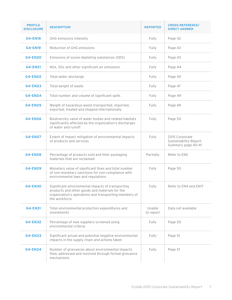| <b>PROFILE</b><br><b>DISCLOSURE</b> | <b>DESCRIPTION</b>                                                                                                                                                            | <b>REPORTED</b>     | <b>CROSS-REFERENCE/</b><br><b>DIRECT ANSWER</b>               |
|-------------------------------------|-------------------------------------------------------------------------------------------------------------------------------------------------------------------------------|---------------------|---------------------------------------------------------------|
| <b>G4-EN18</b>                      | GHG emissions intensity                                                                                                                                                       | Fully               | Page 42                                                       |
| <b>G4-EN19</b>                      | Reduction of GHG emissions                                                                                                                                                    | Fully               | Page 43                                                       |
| <b>G4-EN20</b>                      | Emissions of ozone-depleting substances (ODS)                                                                                                                                 | Fully               | Page 43                                                       |
| <b>G4-EN21</b>                      | NOx, SOx and other significant air emissions                                                                                                                                  | Fully               | Page 44                                                       |
| <b>G4-EN22</b>                      | Total water discharge                                                                                                                                                         | Fully               | Page 45                                                       |
| <b>G4-EN23</b>                      | Total weight of waste                                                                                                                                                         | Fully               | Page 47                                                       |
| <b>G4-EN24</b>                      | Total number and volume of significant spills                                                                                                                                 | Fully               | Page 49                                                       |
| <b>G4-EN25</b>                      | Weight of hazardous waste transported, imported,<br>exported, treated and shipped internationally                                                                             | Fully               | Page 49                                                       |
| <b>G4-EN26</b>                      | Biodiversity value of water bodies and related habitats<br>significantly affected by the organization's discharges<br>of water and runoff                                     | Fully               | Page 50                                                       |
| <b>G4-EN27</b>                      | Extent of impact mitigation of environmental impacts<br>of products and services                                                                                              | Fully               | 2015 Corporate<br>Sustainability Report<br>Summary page 40-41 |
| <b>G4-EN28</b>                      | Percentage of products sold and their packaging<br>materials that are reclaimed                                                                                               | Partially           | Refer to EN2                                                  |
| <b>G4-EN29</b>                      | Monetary value of significant fines and total number<br>of non-monetary sanctions for non-compliance with<br>environmental laws and regulations                               | Fully               | Page 50                                                       |
| <b>G4-EN30</b>                      | Significant environmental impacts of transporting<br>products and other goods and materials for the<br>organization's operations and transporting members of<br>the workforce | Fully               | Refer to EN4 and EN17                                         |
| <b>G4-EN31</b>                      | Total environmental protection expenditures and<br>investments                                                                                                                | Unable<br>to report | Data not available                                            |
| <b>G4-EN32</b>                      | Percentage of new suppliers screened using<br>environmental criteria                                                                                                          | Fully               | Page 50                                                       |
| <b>G4-EN33</b>                      | Significant actual and potential negative environmental<br>impacts in the supply chain and actions taken                                                                      | Fully               | Page 51                                                       |
| <b>G4-EN34</b>                      | Number of grievances about environmental impacts<br>filed, addressed and resolved through formal grievance<br>mechanisms                                                      | Fully               | Page 51                                                       |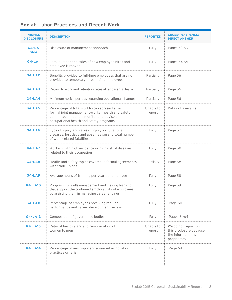| <b>Social: Labor Practices and Decent Work</b> |  |  |  |
|------------------------------------------------|--|--|--|
|------------------------------------------------|--|--|--|

| <b>PROFILE</b><br><b>DISCLOSURE</b> | <b>DESCRIPTION</b>                                                                                                                                                                        | <b>REPORTED</b>     | <b>CROSS-REFERENCE/</b><br><b>DIRECT ANSWER</b>                                     |
|-------------------------------------|-------------------------------------------------------------------------------------------------------------------------------------------------------------------------------------------|---------------------|-------------------------------------------------------------------------------------|
| $G4-LA$<br><b>DMA</b>               | Disclosure of management approach                                                                                                                                                         | Fully               | Pages 52-53                                                                         |
| <b>G4-LA1</b>                       | Total number and rates of new employee hires and<br>employee turnover                                                                                                                     | Fully               | Pages 54-55                                                                         |
| $G4-LA2$                            | Benefits provided to full-time employees that are not<br>provided to temporary or part-time employees                                                                                     | Partially           | Page 56                                                                             |
| $G4-LA3$                            | Return to work and retention rates after parental leave                                                                                                                                   | Partially           | Page 56                                                                             |
| $G4-LAA$                            | Minimum notice periods regarding operational changes                                                                                                                                      | Partially           | Page 56                                                                             |
| <b>G4-LA5</b>                       | Percentage of total workforce represented in<br>formal joint management-worker health and safety<br>committees that help monitor and advise on<br>occupational health and safety programs | Unable to<br>report | Data not available                                                                  |
| <b>G4-LA6</b>                       | Type of injury and rates of injury, occupational<br>diseases, lost days and absenteeism and total number<br>of work-related fatalities                                                    | Fully               | Page 57                                                                             |
| $G4-LAT$                            | Workers with high incidence or high risk of diseases<br>related to their occupation                                                                                                       | Fully               | Page 58                                                                             |
| $G4-LAB$                            | Health and safety topics covered in formal agreements<br>with trade unions                                                                                                                | Partially           | Page 58                                                                             |
| $G4-LA9$                            | Average hours of training per year per employee                                                                                                                                           | Fully               | Page 58                                                                             |
| <b>G4-LA10</b>                      | Programs for skills management and lifelong learning<br>that support the continued employability of employees<br>by assisting them in managing career endings                             | Fully               | Page 59                                                                             |
| <b>G4-LA11</b>                      | Percentage of employees receiving regular<br>performance and career development reviews                                                                                                   | Fully               | Page 60                                                                             |
| <b>G4-LA12</b>                      | Composition of governance bodies                                                                                                                                                          | Fully               | Pages 61-64                                                                         |
| <b>G4-LA13</b>                      | Ratio of basic salary and remuneration of<br>women to men                                                                                                                                 | Unable to<br>report | We do not report on<br>this disclosure because<br>the information is<br>proprietary |
| <b>G4-LA14</b>                      | Percentage of new suppliers screened using labor<br>practices criteria                                                                                                                    | Fully               | Page 64                                                                             |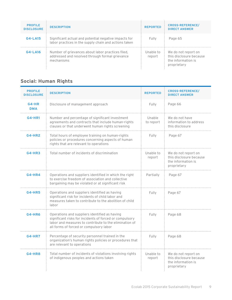| <b>PROFILE</b><br><b>DISCLOSURE</b> | <b>DESCRIPTION</b>                                                                                                 | <b>REPORTED</b>     | <b>CROSS-REFERENCE/</b><br><b>DIRECT ANSWER</b>                                     |
|-------------------------------------|--------------------------------------------------------------------------------------------------------------------|---------------------|-------------------------------------------------------------------------------------|
| $G4-LA15$                           | Significant actual and potential negative impacts for<br>labor practices in the supply chain and actions taken     | Fully               | Page 65                                                                             |
| G4-LA16                             | Number of grievances about labor practices filed,<br>addressed and resolved through formal grievance<br>mechanisms | Unable to<br>report | We do not report on<br>this disclosure because<br>the information is<br>proprietary |

#### **Social: Human Rights**

| <b>PROFILE</b><br><b>DISCLOSURE</b> | <b>DESCRIPTION</b>                                                                                                                                                                                            | <b>REPORTED</b>                                             | <b>CROSS-REFERENCE/</b><br><b>DIRECT ANSWER</b>                                     |
|-------------------------------------|---------------------------------------------------------------------------------------------------------------------------------------------------------------------------------------------------------------|-------------------------------------------------------------|-------------------------------------------------------------------------------------|
| $G4-HR$<br><b>DMA</b>               | Disclosure of management approach                                                                                                                                                                             | Fully                                                       | Page 66                                                                             |
| <b>G4-HR1</b>                       | Number and percentage of significant investment<br>agreements and contracts that include human-rights<br>clauses or that underwent human rights screening                                                     | We do not have<br>information to address<br>this disclosure |                                                                                     |
| <b>G4-HR2</b>                       | Total hours of employee training on human-rights<br>policies or procedures concerning aspects of human<br>rights that are relevant to operations                                                              | Page 67                                                     |                                                                                     |
| $G4-HR3$                            | Total number of incidents of discrimination                                                                                                                                                                   | Unable to<br>report                                         | We do not report on<br>this disclosure because<br>the information is<br>proprietary |
| $G4-HR4$                            | Operations and suppliers identified in which the right<br>to exercise freedom of association and collective<br>bargaining may be violated or at significant risk                                              | Partially                                                   | Page 67                                                                             |
| <b>G4-HR5</b>                       | Operations and suppliers identified as having<br>significant risk for incidents of child labor and<br>measures taken to contribute to the abolition of child<br>labor                                         | Fully                                                       | Page 67                                                                             |
| <b>G4-HR6</b>                       | Operations and suppliers identified as having<br>significant risks for incidents of forced or compulsory<br>labor and measures to contribute to the elimination of<br>all forms of forced or compulsory labor | Fully                                                       | Page 68                                                                             |
| <b>G4-HR7</b>                       | Percentage of security personnel trained in the<br>Fully<br>organization's human rights policies or procedures that<br>are relevant to operations                                                             |                                                             | Page 68                                                                             |
| <b>G4-HR8</b>                       | Total number of incidents of violations involving rights<br>of indigenous peoples and actions taken                                                                                                           | Unable to<br>report                                         | We do not report on<br>this disclosure because<br>the information is<br>proprietary |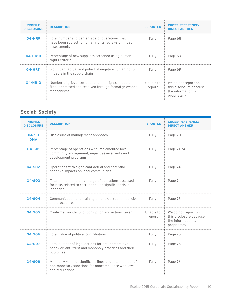| <b>PROFILE</b><br><b>DISCLOSURE</b> | <b>DESCRIPTION</b>                                                                                                      | <b>REPORTED</b>     | <b>CROSS-REFERENCE/</b><br><b>DIRECT ANSWER</b>                                     |
|-------------------------------------|-------------------------------------------------------------------------------------------------------------------------|---------------------|-------------------------------------------------------------------------------------|
| $G4-HR9$                            | Total number and percentage of operations that<br>have been subject to human rights reviews or impact<br>assessments    | Fully               | Page 68                                                                             |
| <b>G4-HR10</b>                      | Percentage of new suppliers screened using human<br>rights criteria                                                     | Fully               | Page 69                                                                             |
| G4-HR11                             | Significant actual and potential negative human rights<br>impacts in the supply chain                                   | Fully               | Page 69                                                                             |
| G4-HR12                             | Number of grievances about human rights impacts<br>filed, addressed and resolved through formal grievance<br>mechanisms | Unable to<br>report | We do not report on<br>this disclosure because<br>the information is<br>proprietary |

#### **Social: Society**

| <b>PROFILE</b><br><b>DISCLOSURE</b> | <b>DESCRIPTION</b>                                                                                                               | <b>REPORTED</b>     | <b>CROSS-REFERENCE/</b><br><b>DIRECT ANSWER</b>                                     |
|-------------------------------------|----------------------------------------------------------------------------------------------------------------------------------|---------------------|-------------------------------------------------------------------------------------|
| $G4-SO$<br><b>DMA</b>               | Disclosure of management approach                                                                                                | Fully               | Page 70                                                                             |
| $G4-S01$                            | Percentage of operations with implemented local<br>community engagement, impact assessments and<br>development programs          | Fully               | Page 71-74                                                                          |
| G4-S02                              | Operations with significant actual and potential<br>negative impacts on local communities                                        | Fully               | Page 74                                                                             |
| $G4-S03$                            | Total number and percentage of operations assessed<br>for risks related to corruption and significant risks<br>identified        | Fully               | Page 74                                                                             |
| G4-S04                              | Communication and training on anti-corruption policies<br>and procedures                                                         | Fully               | Page 75                                                                             |
| G4-S05                              | Confirmed incidents of corruption and actions taken                                                                              | Unable to<br>report | We do not report on<br>this disclosure because<br>the information is<br>proprietary |
| G4-S06                              | Total value of political contributions                                                                                           | Fully               | Page 75                                                                             |
| G4-S07                              | Total number of legal actions for anti-competitive<br>behavior, anti-trust and monopoly practices and their<br>outcomes          | Fully               | Page 75                                                                             |
| G4-S08                              | Monetary value of significant fines and total number of<br>non-monetary sanctions for noncompliance with laws<br>and regulations | Fully               | Page 76                                                                             |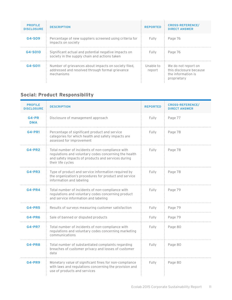| <b>PROFILE</b><br><b>DISCLOSURE</b> | <b>DESCRIPTION</b>                                                                                                    | <b>REPORTED</b>     | <b>CROSS-REFERENCE/</b><br><b>DIRECT ANSWER</b>                                     |  |  |
|-------------------------------------|-----------------------------------------------------------------------------------------------------------------------|---------------------|-------------------------------------------------------------------------------------|--|--|
| G4-S09                              | Percentage of new suppliers screened using criteria for<br>impacts on society                                         | Fully               | Page 76                                                                             |  |  |
| G4-S010                             | Significant actual and potential negative impacts on<br>society in the supply chain and actions taken                 | Fully               | Page 76                                                                             |  |  |
| G4-S011                             | Number of grievances about impacts on society filed,<br>addressed and resolved through formal grievance<br>mechanisms | Unable to<br>report | We do not report on<br>this disclosure because<br>the information is<br>proprietary |  |  |

### **Social: Product Responsibility**

| <b>PROFILE</b><br><b>DISCLOSURE</b> | <b>DESCRIPTION</b>                                                                                                                                                                   | <b>REPORTED</b> | <b>CROSS-REFERENCE/</b><br><b>DIRECT ANSWER</b> |
|-------------------------------------|--------------------------------------------------------------------------------------------------------------------------------------------------------------------------------------|-----------------|-------------------------------------------------|
| $G4-PR$<br><b>DMA</b>               | Disclosure of management approach                                                                                                                                                    | Fully           | Page 77                                         |
| <b>G4-PR1</b>                       | Percentage of significant product and service<br>categories for which health and safety impacts are<br>assessed for improvement                                                      | Fully           | Page 78                                         |
| <b>G4-PR2</b>                       | Total number of incidents of non-compliance with<br>regulations and voluntary codes concerning the health<br>and safety impacts of products and services during<br>their life cycles | Fully           | Page 78                                         |
| $G4-PR3$                            | Type of product and service information required by<br>the organization's procedures for product and service<br>information and labeling                                             | Fully           | Page 78                                         |
| $G4-PR4$                            | Total number of incidents of non-compliance with<br>regulations and voluntary codes concerning product<br>and service information and labeling                                       | Fully           | Page 79                                         |
| <b>G4-PR5</b>                       | Results of surveys measuring customer satisfaction                                                                                                                                   | Fully           | Page 79                                         |
| <b>G4-PR6</b>                       | Sale of banned or disputed products                                                                                                                                                  | Fully           | Page 79                                         |
| <b>G4-PR7</b>                       | Total number of incidents of non-compliance with<br>regulations and voluntary codes concerning marketing<br>communications                                                           | Fully           | Page 80                                         |
| <b>G4-PR8</b>                       | Total number of substantiated complaints regarding<br>breaches of customer privacy and losses of customer<br>data                                                                    | Fully           | Page 80                                         |
| <b>G4-PR9</b>                       | Monetary value of significant fines for non-compliance<br>with laws and regulations concerning the provision and<br>use of products and services                                     | Fully           | Page 80                                         |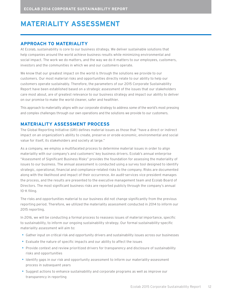### **MATERIALITY ASSESSMENT**

#### **APPROACH TO MATERIALITY**

At Ecolab, sustainability is core to our business strategy. We deliver sustainable solutions that help companies around the world achieve business results while minimizing environmental and social impact. The work we do matters, and the way we do it matters to our employees, customers, investors and the communities in which we and our customers operate.

We know that our greatest impact on the world is through the solutions we provide to our customers. Our most material risks and opportunities directly relate to our ability to help our customers operate sustainably. Therefore, the parameters of our 2015 Corporate Sustainability Report have been established based on a strategic assessment of the issues that our stakeholders care most about, are of greatest relevance to our business strategy and impact our ability to deliver on our promise to make the world cleaner, safer and healthier.

This approach to materiality aligns with our corporate strategy to address some of the world's most pressing and complex challenges through our own operations and the solutions we provide to our customers.

#### **MATERIALITY ASSESSMENT PROCESS**

The Global Reporting Initiative (GRI) defines material issues as those that "have a direct or indirect impact on an organization's ability to create, preserve or erode economic, environmental and social value for itself, its stakeholders and society at large."

As a company, we employ a multifaceted process to determine material issues in order to align materiality with our company's and customers' key business drivers. Ecolab's annual enterprise "Assessment of Significant Business Risks" provides the foundation for assessing the materiality of issues to our business. The annual assessment is conducted using a survey tool designed to identify strategic, operational, financial and compliance-related risks to the company. Risks are documented along with the likelihood and impact of their occurrence. An audit-services vice president manages the process, and the results are presented to the executive management team and Ecolab Board of Directors. The most significant business risks are reported publicly through the company's annual 10-K filing.

The risks and opportunities material to our business did not change significantly from the previous reporting period. Therefore, we utilized the materiality assessment conducted in 2014 to inform our 2015 reporting.

In 2016, we will be conducting a formal process to reassess issues of material importance, specific to sustainability, to inform our ongoing sustainability strategy. Our formal sustainability-specific materiality assessment will aim to:

- • Gather input on critical risk and opportunity drivers and sustainability issues across our businesses
- Evaluate the nature of specific impacts and our ability to affect the issues
- Provide context and review prioritized drivers for transparency and disclosure of sustainability risks and opportunities
- • Identify gaps in our risk and opportunity assessment to inform our materiality-assessment process in subsequent years
- • Suggest actions to enhance sustainability and corporate programs as well as improve our transparency in reporting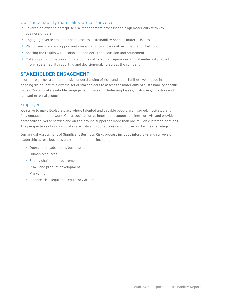#### Our sustainability materiality process involves:

- • Leveraging existing enterprise risk-management processes to align materiality with key business drivers
- Engaging diverse stakeholders to assess sustainability-specific material issues
- Placing each risk and opportunity on a matrix to show relative impact and likelihood
- • Sharing the results with Ecolab stakeholders for discussion and refinement
- • Collating all information and data points gathered to prepare our annual materiality table to inform sustainability reporting and decision-making across the company

#### **STAKEHOLDER ENGAGEMENT**

In order to garner a comprehensive understanding of risks and opportunities, we engage in an ongoing dialogue with a diverse set of stakeholders to assess the materiality of sustainability-specific issues. Our annual stakeholder-engagement process includes employees, customers, investors and relevant external groups.

#### Employees

We strive to make Ecolab a place where talented and capable people are inspired, motivated and fully engaged in their work. Our associates drive innovation, support business growth and provide personally delivered service and on-the-ground support at more than one million customer locations. The perspectives of our associates are critical to our success and inform our business strategy.

Our annual Assessment of Significant Business Risks process includes interviews and surveys of leadership across business units and functions, including:

- Operation heads across businesses
- Human resources
- Supply chain and procurement
- RD&E and product development
- Marketing
- Finance, risk, legal and regulatory affairs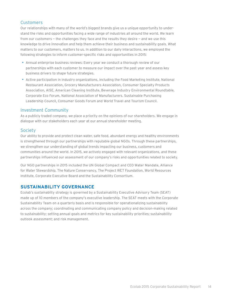#### Customers

Our relationships with many of the world's biggest brands give us a unique opportunity to understand the risks and opportunities facing a wide range of industries all around the world. We learn from our customers — the challenges they face and the results they desire — and we use this knowledge to drive innovation and help them achieve their business and sustainability goals. What matters to our customers, matters to us. In addition to our daily interactions, we employed the following strategies to inform customer-specific risks and opportunities in 2015:

- • Annual enterprise business reviews: Every year we conduct a thorough review of our partnerships with each customer to measure our impact over the past year and assess key business drivers to shape future strategies.
- Active participation in industry organizations, including the Food Marketing Institute, National Restaurant Association, Grocery Manufacturers Association, Consumer Specialty Products Association, AISE, American Cleaning Institute, Beverage Industry Environmental Roundtable, Corporate Eco Forum, National Association of Manufacturers. Sustainable Purchasing Leadership Council, Consumer Goods Forum and World Travel and Tourism Council.

#### Investment Community

As a publicly traded company, we place a priority on the opinions of our shareholders. We engage in dialogue with our stakeholders each year at our annual shareholder meeting.

#### Society

Our ability to provide and protect clean water, safe food, abundant energy and healthy environments is strengthened through our partnerships with reputable global NGOs. Through these partnerships, we strengthen our understanding of global trends impacting our business, customers and communities around the world. In 2015, we actively engaged with relevant organizations, and these partnerships influenced our assessment of our company's risks and opportunities related to society.

Our NGO partnerships in 2015 included the UN Global Compact and CEO Water Mandate, Alliance for Water Stewardship, The Nature Conservancy, The Project WET Foundation, World Resources Institute, Corporate Executive Board and the Sustainability Consortium.

#### **SUSTAINABILITY GOVERNANCE**

Ecolab's sustainablity strategy is governed by a Sustainability Executive Advisory Team (SEAT) made up of 10 members of the company's executive leadership. The SEAT meets with the Corporate Sustainability Team on a quarterly basis and is responsible for operationalizing sustainability across the company; coordinating and communicating company policy and decision-making related to sustainability; setting annual goals and metrics for key sustainability priorities; sustainability outlook assessment; and risk management.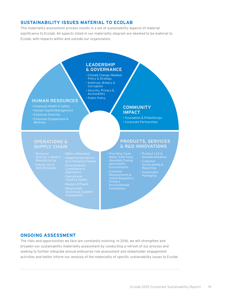#### **SUSTAINABILITY ISSUES MATERIAL TO ECOLAB**

This materiality-assessment process results in a set of sustainability aspects of material significance to Ecolab. All aspects listed in our materiality diagram are deemed to be material to Ecolab, with impacts within and outside our organization.

#### **LEADERSHIP & GOVERNANCE**

- Climate Change–Related Policy & Strategy
- Antitrust, Bribery & **Corruption**
- Security, Privacy & Accessibility • Public Policy

#### **HUMAN RESOURCES**

- 
- 
- 
- Employee Engagement & **Wellness**

#### **COMMUNITY IMPACT**

• Foundation & Philanthropy • Corporate Partnerships

#### **OPERATIONS & SUPPLY CHAIN**

- Resource
	- Scarcity Linked to Adapting Operations<br>Manufacturing to a Changing Climate
		-
		-
		-
- **PRODUCTS, SERVICES & R&D INNOVATIONS**
- Water, Safe Food,
- Global Regulatory Product
- Product LCA & Dematerialization Packaging

#### **ONGOING ASSESSMENT**

The risks and opportunities we face are constantly evolving. In 2016, we will strengthen and broaden our sustainability materiality assessment by conducting a refresh of our process and seeking to further integrate annual enterprise risk assessment and stakeholder engagement activities and better inform our analysis of the materiality of specific sustainability issues to Ecolab.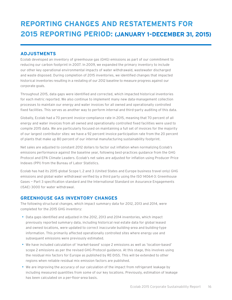### **REPORTING CHANGES AND RESTATEMENTS FOR 2015 REPORTING PERIOD: (JANUARY 1–DECEMBER 31, 2015)**

#### **ADJUSTMENTS**

Ecolab developed an inventory of greenhouse gas (GHG) emissions as part of our commitment to reducing our carbon footprint in 2007. In 2009, we expanded the primary inventory to include our other key operational environmental impacts of water withdrawald, wastewater discharged and waste disposed. During completion of 2015 inventories, we identified changes that impacted historical inventories resulting in a restating of our 2012 baseline to measure progress against our corporate goals.

Throughout 2015, data gaps were identified and corrected, which impacted historical inventories for each metric reported. We also continue to implement many new data-management collection processes to maintain our energy and water invoices for all owned and operationally controlled fixed facilities. This serves as another way to perform internal and third-party auditing of this data.

Globally, Ecolab had a 70 percent invoice-compliance rate in 2015, meaning that 70 percent of all energy and water invoices from all owned and operationally controlled fixed facilities were used to compile 2015 data. We are particularly focused on maintaining a full set of invoices for the majority of our largest contributor sites: we have a 92 percent invoice participation rate from the 20 percent of plants that make up 80 percent of our internal manufacturing sustainability footprint.

Net sales are adjusted to constant 2012 dollars to factor out inflation when normalizing Ecolab's emissions performance against the baseline year, following best-practices guidance from the GHG Protocol and EPA Climate Leaders. Ecolab's net sales are adjusted for inflation using Producer Price Indexes (PPI) from the Bureau of Labor Statistics.

Ecolab has had its 2015 global Scope 1, 2 and 3 (United States and Europe business travel only) GHG emissions and global water withdrawal verified by a third party using the ISO 14064-3: Greenhouse Gases — Part 3 specification standard and the International Standard on Assurance Engagements (ISAE) 3000 for water withdrawal.

#### **GREENHOUSE GAS INVENTORY CHANGES**

The following structural changes, which impact summary data for 2012, 2013 and 2014, were completed for the 2015 GHG inventory:

- • Data gaps identified and adjusted in the 2012, 2013 and 2014 inventories, which impact previously reported summary data, including historical real estate data for global leased and owned locations, were updated to correct inaccurate building-area and building-type information. This primarily affected operationally controlled sites where energy use and subsequent emissions were previously estimated.
- • We have included calculation of 'market-based' scope 2 emissions as well as 'location-based' scope 2 emissions as per the revised GHG Protocol guidance. At this stage, this involves using the residual mix factors for Europe as published by RE-DISS. This will be extended to other regions when reliable residual mix emission factors are published.
- • We are improving the accuracy of our calculation of the impact from refrigerant leakage by including measured quantities from some of our key locations. Previously, estimation of leakage has been calculated on a per-floor-area basis.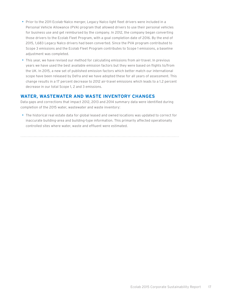- Prior to the 2011 Ecolab-Nalco merger, Legacy Nalco light fleet drivers were included in a Personal Vehicle Allowance (PVA) program that allowed drivers to use their personal vehicles for business use and get reimbursed by the company. In 2012, the company began converting those drivers to the Ecolab Fleet Program, with a goal completion date of 2016. By the end of 2015, 1,683 Legacy Nalco drivers had been converted. Since the PVA program contributed to Scope 3 emissions and the Ecolab Fleet Program contributes to Scope 1 emissions, a baseline adjustment was completed.
- This year, we have revised our method for calculating emissions from air-travel. In previous years we have used the best available emission factors but they were based on flights to/from the UK. In 2015, a new set of published emission factors which better match our international scope have been released by Defra and we have adopted these for all years of assessment. This change results in a 17 percent decrease to 2012 air-travel emissions which leads to a 1.2 percent decrease in our total Scope 1, 2 and 3 emissions.

#### **WATER, WASTEWATER AND WASTE INVENTORY CHANGES**

Data gaps and corrections that impact 2012, 2013 and 2014 summary data were identified during completion of the 2015 water, wastewater and waste inventory:

• The historical real estate data for global leased and owned locations was updated to correct for inaccurate building-area and building-type information. This primarily affected operationally controlled sites where water, waste and effluent were estimated.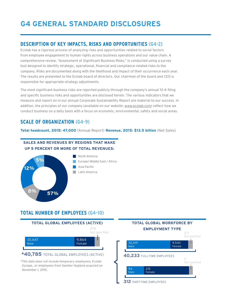### **G4 GENERAL STANDARD DISCLOSURES**

#### **DESCRIPTION OF KEY IMPACTS, RISKS AND OPPORTUNITIES (G4-2)**

Ecolab has a rigorous process of analyzing risks and opportunities related to social factors from employee engagement to human rights across business operations and our value chain. A comprehensive review, "Assessment of Significant Business Risks," is conducted using a survey tool designed to identify strategic, operational, financial and compliance-related risks to the company. Risks are documented along with the likelihood and impact of their occurrence each year. The results are presented to the Ecolab board of directors. Our chairman of the board and CEO is responsible for appropriate strategy adjustments.

The most significant business risks are reported publicly through the company's annual 10-K filing and specific business risks and opportunities are disclosed herein. The various indicators that we measure and report on in our annual Corporate Sustainability Report are material to our success. In addition, the principles of our company (available on our website: [www.ecolab.com\)](http://www.ecolab.com) reflect how we conduct business on a daily basis with a focus on economic, environmental, safety and social areas.

#### **SCALE OF ORGANIZATION (G4-9)**

**Total headcount, 2015: 47,000** (Annual Report) **Revenue, 2015: \$13.5 billion** (Net Sales)

#### **SALES AND REVENUES BY REGIONS THAT MAKE UP 5 PERCENT OR MORE OF TOTAL REVENUES:**



 North America Europe/ Middle East / Africa Asia Pacific Latin America

#### **TOTAL NUMBER OF EMPLOYEES (G4-10)**



 $*$ This data does not include temporary employees, Ecolab *Europe., or employees from Swisher Hygiene acquired on November 1, 2015.*

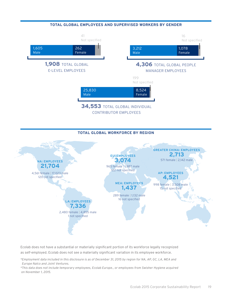

#### **TOTAL GLOBAL WORKFORCE BY REGION**



Ecolab does not have a substantial or materially significant portion of its workforce legally recognized as self-employed. Ecolab does not see a materially significant variation in its employee workforce.

*\*Employment data included in this disclosure is as of December 31, 2015 by region for NA, AP, GC, LA, MEA and Europe Nalco and Joint Ventures.*

*\*This data does not include temporary employees, Ecolab Europe., or employees from Swisher Hygiene acquired on November 1, 2015.*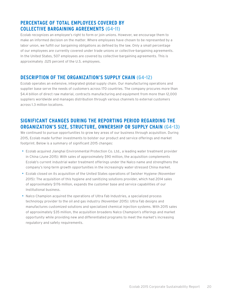#### **PERCENTAGE OF TOTAL EMPLOYEES COVERED BY COLLECTIVE BARGAINING AGREEMENTS (G4-11)**

Ecolab recognizes an employee's right to form or join unions. However, we encourage them to make an informed decision on the matter. Where employees have chosen to be represented by a labor union, we fulfill our bargaining obligations as defined by the law. Only a small percentage of our employees are currently covered under trade unions or collective-bargaining agreements. In the United States, 507 employees are covered by collective-bargaining agreements. This is approximately .025 percent of the U.S. employees.

#### **DESCRIPTION OF THE ORGANIZATION'S SUPPLY CHAIN (G4-12)**

Ecolab operates an extensive, integrated global supply chain. Our manufacturing operations and supplier base serve the needs of customers across 170 countries. The company procures more than \$4.4 billion of direct raw material, contracts manufacturing and equipment from more than 12,000 suppliers worldwide and manages distribution through various channels to external customers across 1.3 million locations.

#### **SIGNIFICANT CHANGES DURING THE REPORTING PERIOD REGARDING THE ORGANIZATION'S SIZE, STRUCTURE, OWNERSHIP OR SUPPLY CHAIN (G4-13)**

We continued to pursue opportunities to grow key areas of our business through acquisition. During 2015, Ecolab made further investments to bolster our product and service offerings and market footprint. Below is a summary of significant 2015 changes:

- • Ecolab acquired Jianghai Environmental Protection Co. Ltd., a leading water treatment provider in China (June 2015): With sales of approximately \$90 million, the acquisition complements Ecolab's current industrial water treatment offerings under the Nalco name and strengthens the company's long-term growth opportunities in the increasingly water-stressed China market.
- Ecolab closed on its acquisition of the United States operations of Swisher Hygiene (November 2015): The acquisition of this hygiene and sanitizing solutions provider, which had 2014 sales of approximately \$176 million, expands the customer base and service capabilities of our Institutional business.
- Nalco Champion acquired the operations of Ultra Fab Industries, a specialized process technology provider to the oil and gas industry (November 2015): Ultra Fab designs and manufactures customized solutions and specialized chemical injection systems. With 2015 sales of approximately \$35 million, the acquisition broadens Nalco Champion's offerings and market opportunity while providing new and differentiated programs to meet the market's increasing regulatory and safety requirements.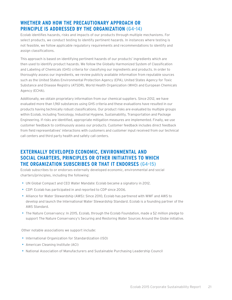#### **WHETHER AND HOW THE PRECAUTIONARY APPROACH OR PRINCIPLE IS ADDRESSED BY THE ORGANIZATION (G4-14)**

Ecolab identifies hazards, risks and impacts of our products through multiple mechanisms. For select products, we conduct testing to identify pertinent hazards. In instances where testing is not feasible, we follow applicable regulatory requirements and recommendations to identify and assign classifications.

This approach is based on identifying pertinent hazards of our products' ingredients which are then used to identify product hazards. We follow the Globally Harmonized System of Classification and Labeling of Chemicals (GHS) criteria for classifying our ingredients and products. In order to thoroughly assess our ingredients, we review publicly available information from reputable sources such as the United States Environmental Protection Agency (EPA), United States Agency for Toxic Substance and Disease Registry (ATSDR), World Health Organization (WHO) and European Chemicals Agency (ECHA).

Additionally, we obtain proprietary information from our chemical suppliers. Since 2012, we have evaluated more than 1,961 substances using GHS criteria and these evaluations have resulted in our products having technically robust classifications. Our product risks are evaluated by multiple groups within Ecolab, including Toxicology, Industrial Hygiene, Sustainability, Transportation and Package Engineering. If risks are identified, appropriate mitigation measures are implemented. Finally, we use customer feedback to continuously assess our products. Customer feedback includes direct feedback from field representatives' interactions with customers and customer input received from our technical call centers and third party health and safety call centers.

#### **EXTERNALLY DEVELOPED ECONOMIC, ENVIRONMENTAL AND SOCIAL CHARTERS, PRINCIPLES OR OTHER INITIATIVES TO WHICH THE ORGANIZATION SUBSCRIBES OR THAT IT ENDORSES (G4-15)**

Ecolab subscribes to or endorses externally developed economic, environmental and social charters/principles, including the following:

- UN Global Compact and CEO Water Mandate: Ecolab became a signatory in 2012.
- CDP: Ecolab has participated in and reported to CDP since 2006.
- • Alliance for Water Stewardship (AWS): Since 2010, Ecolab has partnered with WWF and AWS to develop and launch the International Water Stewardship Standard. Ecolab is a founding partner of the AWS Standard.
- • The Nature Conservancy: In 2015, Ecolab, through the Ecolab Foundation, made a \$2 million pledge to support The Nature Conservancy's Securing and Restoring Water Sources Around the Globe initiative.

Other notable associations we support include:

- International Organization for Standardization (ISO)
- American Cleaning Institute (ACI)
- • National Association of Manufacturers and Sustainable Purchasing Leadership Council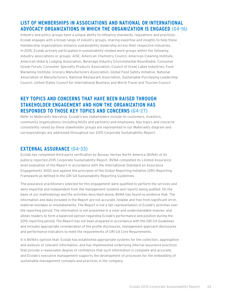#### **LIST OF MEMBERSHIPS IN ASSOCIATIONS AND NATIONAL OR INTERNATIONAL ADVOCACY ORGANIZATIONS IN WHICH THE ORGANIZATION IS ENGAGED (G4-16)**

Industry and policy groups have a unique ability to influence standards, regulations and practices. Ecolab engages with a broad range of industry groups, sharing expertise and insights to help these membership organizations enhance sustainability leadership across their respective industries. In 2015, Ecolab actively participated in sustainability-related work groups within the following industry associations or groups: AISE, American Chemistry Council, American Cleaning Institute, American Hotel & Lodging Association, Beverage Industry Environmental Roundtable, Consumer Goods Forum, Consumer Specialty Products Association, Council of Great Lakes Industries, Food Marketing Institute, Grocery Manufacturers Association, Global Food Safety Initiative, National Association of Manufacturers, National Restaurant Association, Sustainable Purchasing Leadership Council, United States Council for International Business and World Travel and Tourism Council.

#### **KEY TOPICS AND CONCERNS THAT HAVE BEEN RAISED THROUGH STAKEHOLDER ENGAGEMENT AND HOW THE ORGANIZATION HAS RESPONDED TO THOSE KEY TOPICS AND CONCERNS (G4-27)**

Refer to Materiality Narrative. Ecolab's key stakeholders include its customers, investors, community organizations (including NGOs and partners) and employees. Key topics and concerns consistently raised by these stakeholder groups are represented in our Materiality diagram and correspondingly are addressed throughout our 2015 Corporate Sustainability Report.

#### **EXTERNAL ASSURANCE (G4-33)**

Ecolab has completed third-party verification by Bureau Veritas North America (BVNA) of its publicly reported 2015 Corporate Sustainability Report. BVNA completed its Limited Assurance level evaluation of the Report in accordance with the International Standard on Assurance Engagements 3000 and against the principles of the Global Reporting Initiative (GRI) Reporting Framework as defined in the GRI G4 Sustainability Reporting Guidelines.

The assurance practitioners selected for this engagement were qualified to perform the services and were impartial and independent from the management systems and reports being audited. On the basis of our methodology and the activities described above, BVNA has found no evidence that: The information and data included in the Report are not accurate, reliable and free from significant error, material mistakes or misstatements; The Report is not a fair representation of Ecolab's activities over the reporting period; The information is not presented in a clear and understandable manner, and allows readers to form a balanced opinion regarding Ecolab's performance and position during the 2015 reporting period; The Report has not been prepared in accordance with the GRI G4 Guidelines and includes appropriate consideration of the profile disclosures, management approach disclosures and performance indicators to meet the requirements of GRI G4 Core Requirements.

It is BVNA's opinion that: Ecolab has established appropriate systems for the collection, aggregation and analysis of relevant information, and has implemented underlying internal assurance practices that provide a reasonable degree of confidence that such information is complete and accurate; and Ecolab's executive management supports the development of processes for the embedding of sustainable management concepts and practices in the company.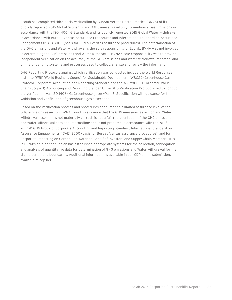Ecolab has completed third-party verification by Bureau Veritas North America (BNVA) of its publicly reported 2015 Global Scope 1, 2 and 3 (Business Travel only) Greenhouse Gas Emissions in accordance with the ISO 14064-3 Standard, and its publicly reported 2015 Global Water withdrawal in accordance with Bureau Veritas Assurance Procedures and International Standard on Assurance Engagements (ISAE) 3000 (basis for Bureau Veritas assurance procedures). The determination of the GHG emissions and Water withdrawal is the sole responsibility of Ecolab. BVNA was not involved in determining the GHG emissions and Water withdrawal. BVNA's sole responsibility was to provide independent verification on the accuracy of the GHG emissions and Water withdrawal reported, and on the underlying systems and processes used to collect, analyze and review the information.

GHG Reporting Protocols against which verification was conducted include the World Resources Institute (WRI)/World Business Council for Sustainable Development (WBCSD) Greenhouse Gas Protocol, Corporate Accounting and Reporting Standard and the WRI/WBCSD Corporate Value Chain (Scope 3) Accounting and Reporting Standard. The GHG Verification Protocol used to conduct the verification was ISO 14064-3: Greenhouse gases—Part 3: Specification with guidance for the validation and verification of greenhouse gas assertions.

Based on the verification process and procedures conducted to a limited assurance level of the GHG emissions assertion, BVNA found no evidence that the GHG emissions assertion and Water withdrawal assertion is not materially correct; is not a fair representation of the GHG emissions and Water withdrawal data and information; and is not prepared in accordance with the WRI/ WBCSD GHG Protocol Corporate Accounting and Reporting Standard, International Standard on Assurance Engagements (ISAE) 3000 (basis for Bureau Veritas assurance procedures), and for Corporate Reporting on Carbon and Water on Behalf of Investors and Supply Chain Members. It is in BVNA's opinion that Ecolab has established appropriate systems for the collection, aggregation and analysis of quantitative data for determination of GHG emissions and Water withdrawal for the stated period and boundaries. Additional information is available in our CDP online submission, available at [cdp.net.](http://www.cdp.net)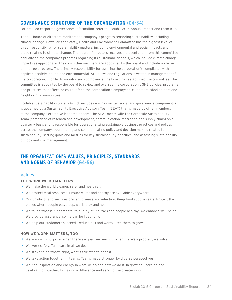#### **GOVERNANCE STRUCTURE OF THE ORGANIZATION (G4-34)**

For detailed corporate governance information, refer to Ecolab's 2015 Annual Report and Form 10-K.

The full board of directors monitors the company's progress regarding sustainability, including climate change. However, the Safety, Health and Environment Committee has the highest level of direct responsibility for sustainability matters, including environmental and social impacts and those relating to climate change. The board of directors receives a presentation from this committee annually on the company's progress regarding its sustainability goals, which include climate change impacts as appropriate. The committee members are appointed by the board and include no fewer than three directors. The primary responsibility for assuring the corporation's compliance with applicable safety, health and environmental (SHE) laws and regulations is vested in management of the corporation. In order to monitor such compliance, the board has established the committee. The committee is appointed by the board to review and oversee the corporation's SHE policies, programs and practices that affect, or could affect, the corporation's employees, customers, stockholders and neighboring communities.

Ecolab's sustainability strategy (which includes environmental, social and governance components) is governed by a Sustainability Executive Advisory Team (SEAT) that is made up of ten members of the company's executive leadership team. The SEAT meets with the Corporate Sustainability Team (comprised of research and development, communication, marketing and supply chain) on a quarterly basis and is responsible for operationalizing sustainable business practices and polices across the company; coordinating and communicating policy and decision making related to sustainability; setting goals and metrics for key sustainability priorities; and assessing sustainability outlook and risk management.

#### **THE ORGANIZATION'S VALUES, PRINCIPLES, STANDARDS AND NORMS OF BEHAVIOR (G4-56)**

#### Values

#### **THE WORK WE DO MATTERS**

- We make the world cleaner, safer and healthier.
- We protect vital resources. Ensure water and energy are available everywhere.
- • Our products and services prevent disease and infection. Keep food supplies safe. Protect the places where people eat, sleep, work, play and heal.
- • We touch what is fundamental to quality of life: We keep people healthy. We enhance well-being. We provide assurance, so life can be lived fully.
- • We help our customers succeed. Reduce risk and worry. Free them to grow.

#### **HOW WE WORK MATTERS, TOO**

- • We work with purpose. When there's a goal, we reach it. When there's a problem, we solve it.
- We work safely. Take care in all we do.
- We strive to do what's right, what's fair, what's honest.
- We take action together. In teams. Teams made stronger by diverse perspectives.
- • We find inspiration and energy in what we do and how we do it. In growing, learning and celebrating together. In making a difference and serving the greater good.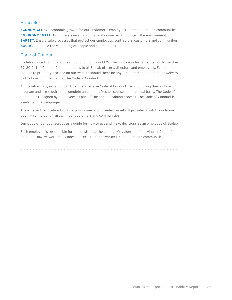#### **Principles**

**ECONOMIC:** Drive economic growth for our customers, employees, shareholders and communities. **ENVIRONMENTAL:** Promote stewardship of natural resources and protect the environment. **SAFETY:** Ensure safe processes that protect our employees, contractors, customers and communities. **SOCIAL:** Enhance the well-being of people and communities.

#### Code of Conduct

Ecolab adopted its initial Code of Conduct policy in 1976. The policy was last amended on November 29, 2012. The Code of Conduct applies to all Ecolab officers, directors and employees. Ecolab intends to promptly disclose on our website should there be any further amendments to, or waivers by the board of directors of, the Code of Conduct.

All Ecolab employees and board members receive Code of Conduct training during their onboarding program and are required to complete an online refresher course on an annual basis. The Code of Conduct is re-signed by employees as part of the annual training process. The Code of Conduct is available in 20 languages.

The excellent reputation Ecolab enjoys is one of its greatest assets. It provides a solid foundation upon which to build trust with our customers and communities.

Our Code of Conduct serves as a guide for how to act and make decisions as an employee of Ecolab.

Each employee is responsible for demonstrating the company's values and following its Code of Conduct. How we work really does matter — to our coworkers, customers and communities.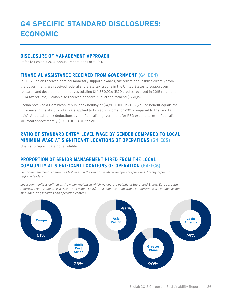## **G4 SPECIFIC STANDARD DISCLOSURES: ECONOMIC**

#### **DISCLOSURE OF MANAGEMENT APPROACH**

Refer to Ecolab's 2014 Annual Report and Form 10-K.

#### **FINANCIAL ASSISTANCE RECEIVED FROM GOVERNMENT (G4-EC4)**

In 2015, Ecolab received nominal monetary support, awards, tax reliefs or subsidies directly from the government. We received federal and state tax credits in the United States to support our research and development initiatives totaling \$14,380,926 (R&D credits received in 2015 related to 2014 tax returns). Ecolab also received a federal fuel credit totaling \$550,192.

Ecolab received a Dominican Republic tax holiday of \$4,800,000 in 2015 (valued benefit equals the difference in the statutory tax rate applied to Ecolab's income for 2015 compared to the zero tax paid). Anticipated tax deductions by the Australian government for R&D expenditures in Australia will total approximately \$1,700,000 AUD for 2015.

#### **RATIO OF STANDARD ENTRY-LEVEL WAGE BY GENDER COMPARED TO LOCAL MINIMUM WAGE AT SIGNIFICANT LOCATIONS OF OPERATIONS (G4-EC5)**

Unable to report; data not available.

#### **PROPORTION OF SENIOR MANAGEMENT HIRED FROM THE LOCAL COMMUNITY AT SIGNIFICANT LOCATIONS OF OPERATION (G4-EC6)**

*Senior management is defined as N-2 levels in the regions in which we operate (positions directly report to regional leader).*

*Local community is defined as the major regions in which we operate outside of the United States: Europe, Latin America, Greater China, Asia Pacific and Middle East/Africa. Significant locations of operations are defined as our manufacturing facilities and operation centers.*

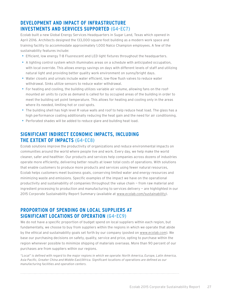#### **DEVELOPMENT AND IMPACT OF INFRASTRUCTURE INVESTMENTS AND SERVICES SUPPORTED (G4-EC7)**

Ecolab built a new Global Energy Services Headquarters in Sugar Land, Texas which opened in April 2016. Architects designed the 133,000-square-foot building as a modern work space and training facility to accommodate approximately 1,000 Nalco Champion employees. A few of the sustainability features include:

- • Efficient, low energy T-8 Fluorescent and LED light fixtures throughout the headquarters.
- • A lighting control system which illuminates areas on a schedule with anticipated occupation, with local override. This allows energy savings on days with different levels of staff and utilizing natural light and providing better quality work environment on sunny/bright days.
- Water closets and urinals include water efficient, low-flow flush valves to reduce water withdrawal. Sinks utilize sensors to reduce water withdrawal.
- For heating and cooling, the building utilizes variable air volume, allowing fans on the roofmounted air units to cycle as demand is called for by occupied areas of the building in order to meet the building set point temperature. This allows for heating and cooling only in the areas where its needed, limiting hot or cool spots.
- The building shell has high level R value walls and roof to help reduce heat load. The glass has a high performance coating additionally reducing the heat gain and the need for air conditioning.
- Perforated shades will be added to reduce glare and building heat load.

#### **SIGNIFICANT INDIRECT ECONOMIC IMPACTS, INCLUDING THE EXTENT OF IMPACTS (G4-EC8)**

Ecolab solutions improve the productivity of organizations and reduce environmental impacts on communities around the world where people live and work. Every day, we help make the world cleaner, safer and healthier. Our products and services help companies across dozens of industries operate more efficiently, delivering better results at lower total costs of operations. With solutions that enable customers to produce more products and services using fewer natural resources, Ecolab helps customers meet business goals, conserving limited water and energy resources and minimizing waste and emissions. Specific examples of the impact we have on the operational productivity and sustainability of companies throughout the value chain — from raw material and ingredient processing to production and manufacturing to services delivery — are highlighted in our 2015 Corporate Sustainability Report Summary (available at [www.ecolab.com/sustainability\)](http://www.ecolab.com/sustainability).

#### **PROPORTION OF SPENDING ON LOCAL SUPPLIERS AT SIGNIFICANT LOCATIONS OF OPERATION (G4-EC9)**

We do not have a specific proportion of budget spend on local suppliers within each region, but fundamentally, we choose to buy from suppliers within the regions in which we operate that abide by the ethical and sustainability goals set forth by our company (posted on [www.ecolab.com\)](http://www.ecolab.com). We base our purchasing decisions on safety, quality, service and price, opting to purchase within the region whenever possible to minimize shipping of materials overseas. More than 90 percent of our purchases are from suppliers within our regions.

*"Local" is defined with regard to the major regions in which we operate: North America, Europe, Latin America, Asia Pacific, Greater China and Middle East/Africa. Significant locations of operations are defined as our manufacturing facilities and operation centers.*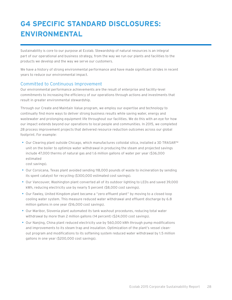## **G4 SPECIFIC STANDARD DISCLOSURES: ENVIRONMENTAL**

Sustainability is core to our purpose at Ecolab. Stewardship of natural resources is an integral part of our operational and business strategy, from the way we run our plants and facilities to the products we develop and the way we serve our customers.

We have a history of strong environmental performance and have made significant strides in recent years to reduce our environmental impact.

#### Committed to Continuous Improvement

Our environmental performance achievements are the result of enterprise and facility-level commitments to increasing the efficiency of our operations through actions and investments that result in greater environmental stewardship.

Through our Create and Maintain Value program, we employ our expertise and technology to continually find more ways to deliver strong business results while saving water, energy and wastewater and prolonging equipment life throughout our facilities. We do this with an eye for how our impact extends beyond our operations to local people and communities. In 2015, we completed 28 process improvement projects that delivered resource reduction outcomes across our global footprint. For example:

• Our Clearing plant outside Chicago, which manufactures colloidal silica, installed a 3D TRASAR™ unit on the boiler to optimize water withdrawal in producing the steam and projected savings include 47,000 therms of natural gas and 1.6 million gallons of water per year (\$36,000 estimated

cost savings).

- • Our Corsicana, Texas plant avoided sending 118,000 pounds of waste to incineration by sending its spent catalyst for recycling (\$300,000 estimated cost savings).
- • Our Vancouver, Washington plant converted all of its outdoor lighting to LEDs and saved 39,000 kWh, reducing electricity use by nearly 5 percent (\$8,000 cost savings).
- • Our Fawley, United Kingdom plant became a "zero effluent plant" by moving to a closed loop cooling water system. This measure reduced water withdrawal and effluent discharge by 6.8 million gallons in one year (\$16,000 cost savings).
- • Our Maribor, Slovenia plant automated its tank washout procedures, reducing total water withdrawal by more than 2 million gallons (14 percent) (\$24,000 cost savings).
- Our Nanjing, China plant reduced electricity use by 560,000 kWh through pump modifications and improvements to its steam trap and insulation. Optimization of the plant's vessel cleanout program and modifications to its softening system reduced water withdrawal by 1.5 million gallons in one year (\$200,000 cost savings).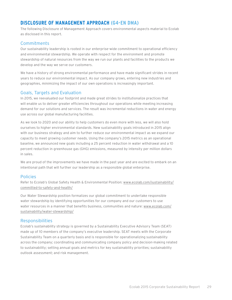#### **DISCLOSURE OF MANAGEMENT APPROACH (G4-EN DMA)**

The following Disclosure of Management Approach covers environmental aspects material to Ecolab as disclosed in this report.

#### Commitments

Our sustainability leadership is rooted in our enterprise-wide commitment to operational efficiency and environmental stewardship. We operate with respect for the environment and promote stewardship of natural resources from the way we run our plants and facilities to the products we develop and the way we serve our customers.

We have a history of strong environmental performance and have made significant strides in recent years to reduce our environmental impact. As our company grows, entering new industries and geographies, minimizing the impact of our own operations is increasingly important.

#### Goals, Targets and Evaluation

In 2015, we reevaluated our footprint and made great strides to institutionalize practices that will enable us to deliver greater efficiencies throughout our operations while meeting increasing demand for our solutions and services. The result was incremental reductions in water and energy use across our global manufacturing facilities.

As we look to 2020 and our ability to help customers do even more with less, we will also hold ourselves to higher environmental standards. New sustainability goals introduced in 2015 align with our business strategy and aim to further reduce our environmental impact as we expand our capacity to meet growing customer needs. Using the company's 2015 metrics as an operational baseline, we announced new goals including a 25 percent reduction in water withdrawal and a 10 percent reduction in greenhouse gas (GHG) emissions, measured by intensity per million dollars in sales.

We are proud of the improvements we have made in the past year and are excited to embark on an intentional path that will further our leadership as a responsible global enterprise.

#### Policies

Refer to Ecolab's Global Safety Health & Environmental Position: [www.ecolab.com/sustainability/](http://www.ecolab.com/sustainability/committed-to-safety-and-health/) [committed-to-safety-and-health/](http://www.ecolab.com/sustainability/committed-to-safety-and-health/)

Our Water Stewardship position formalizes our global commitment to undertake responsible water stewardship by identifying opportunities for our company and our customers to use water resources in a manner that benefits business, communities and nature: [www.ecolab.com/](http://www.ecolab.com/sustainability/water-stewardship) [sustainability/water-stewardship](http://www.ecolab.com/sustainability/water-stewardship)/

#### **Responsibilities**

Ecolab's sustainability strategy is governed by a Sustainability Executive Advisory Team (SEAT) made up of 10 members of the company's executive leadership. SEAT meets with the Corporate Sustainability Team on a quarterly basis and is responsible for operationalizing sustainability across the company; coordinating and communicating company policy and decision-making related to sustainability; setting annual goals and metrics for key sustainability priorities; sustainability outlook assessment; and risk management.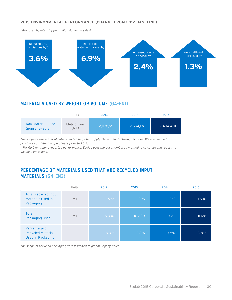#### **2015 ENVIRONMENTAL PERFORMANCE (CHANGE FROM 2012 BASELINE)**

*(Measured by intensity per million dollars in sales)*



#### **MATERIALS USED BY WEIGHT OR VOLUME (G4-EN1)**

|                                            | Units               | 2013      | 2014      | 2015      |
|--------------------------------------------|---------------------|-----------|-----------|-----------|
| <b>Raw Material Used</b><br>(nonrenewable) | Metric Tons<br>(MT) | 2,078,991 | 2,534,136 | 2,404,401 |

*The scope of raw material data is limited to global supply-chain manufacturing facilities. We are unable to provide a consistent scope of data prior to 2013.*

*\* For GHG emissions reported performance, Ecolab uses the Location-based method to calculate and report its Scope 2 emissions.*

#### **PERCENTAGE OF MATERIALS USED THAT ARE RECYCLED INPUT MATERIALS (G4-EN2)**

|                                                                       | Units     | 2012  | 2013   | 2014  | 2015   |
|-----------------------------------------------------------------------|-----------|-------|--------|-------|--------|
| <b>Total Recycled Input</b><br><b>Materials Used in</b><br>Packaging  | <b>MT</b> | 973   | 1,395  | 1,262 | 1,530  |
| Total<br><b>Packaging Used</b>                                        | <b>MT</b> | 5,330 | 10,890 | 7,211 | 11,126 |
| Percentage of<br><b>Recycled Material</b><br><b>Used in Packaging</b> |           | 18.3% | 12.8%  | 17.5% | 13.8%  |

*The scope of recycled packaging data is limited to global Legacy Nalco.*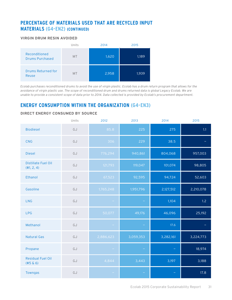#### **PERCENTAGE OF MATERIALS USED THAT ARE RECYCLED INPUT MATERIALS (G4-EN2) (CONTINUED)**

#### **VIRGIN DRUM RESIN AVOIDED**



*Ecolab purchases reconditioned drums to avoid the use of virgin plastic. Ecolab has a drum return program that allows for the avoidance of virgin plastic use. The scope of reconditioned drum and drums returned data is global Legacy Ecolab. We are unable to provide a consistent scope of data prior to 2014. Data collected is provided by Ecolab's procurement department.*

#### **ENERGY CONSUMPTION WITHIN THE ORGANIZATION (G4-EN3)**

|                                         | Units | 2012      | 2013      | 2014      | 2015      |
|-----------------------------------------|-------|-----------|-----------|-----------|-----------|
| <b>Biodiesel</b>                        | GJ    | 85.8      | 225       | 275       | 1.1       |
| <b>CNG</b>                              | GJ    | 306       | 229       | 38.5      |           |
| <b>Diesel</b>                           | GJ    | 776,294   | 940,861   | 804,068   | 957,003   |
| Distillate Fuel Oil<br>(#1, 2, 4)       | GJ    | 121,793   | 119,047   | 101,074   | 98,805    |
| Ethanol                                 | GJ    | 67,523    | 92,595    | 94,724    | 52,603    |
| Gasoline                                | GJ    | 1,765,248 | 1,951,796 | 2,127,512 | 2,210,078 |
| <b>LNG</b>                              | GJ    |           |           | 1,104     | 1.2       |
| <b>LPG</b>                              | GJ    | 50,077    | 49,176    | 46,096    | 25,192    |
| Methanol                                | GJ    |           |           | 17.6      |           |
| <b>Natural Gas</b>                      | GJ    | 2,886,623 | 3,059,353 | 3,282,161 | 3,224,773 |
| Propane                                 | GJ    |           |           |           | 18,974    |
| <b>Residual Fuel Oil</b><br>$(45 \& 6)$ | GJ    | 4,844     | 3,443     | 3,197     | 3,188     |
| Towngas                                 | GJ    |           |           |           | 17.8      |

#### **DIRECT ENERGY CONSUMED BY SOURCE**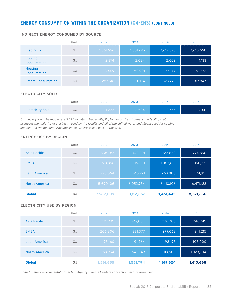#### **ENERGY CONSUMPTION WITHIN THE ORGANIZATION (G4-EN3) (CONTINUED)**

|                          | Units | 2012      | 2013      | 2014      | 2015      |
|--------------------------|-------|-----------|-----------|-----------|-----------|
| Electricity              | GJ    | 1,561,656 | 1,551,795 | 1,619,623 | 1,610,668 |
| Cooling<br>Consumption   | GJ    | 2,374     | 2,684     | 2,602     | 1,133     |
| Heating<br>Consumption   | GJ    | 38,469    | 50,991    | 55,177    | 51,372    |
| <b>Steam Consumption</b> | GJ    | 287,516   | 290,074   | 323,776   | 317,847   |

#### **INDIRECT ENERGY CONSUMED BY SOURCE**

#### **ELECTRICITY SOLD**

|                         | Units | 2012  | 2013  | 2014  | 2015  |
|-------------------------|-------|-------|-------|-------|-------|
| <b>Electricity Sold</b> | ل ر   | 1,233 | 2,504 | 2,755 | 3,041 |

*Our Legacy Nalco headquarters/RD&E facility in Naperville, Ill., has an onsite tri-generation facility that produces the majority of electricity used by the facility and all of the chilled water and steam used for cooling and heating the building. Any unused electricity is sold back to the grid.*

#### **ENERGY USE BY REGION**

|               | Units | 2012      | 2013      | 2014      | 2015      |
|---------------|-------|-----------|-----------|-----------|-----------|
| Asia Pacific  | GJ    | 668,783   | 743,301   | 723,638   | 774,850   |
| <b>EMEA</b>   | GJ    | 978,356   | 1,067,311 | 1,063,813 | 1,050,771 |
| Latin America | GJ    | 225,564   | 248,921   | 263,888   | 274,912   |
| North America | GJ    | 5,690,106 | 6,052,734 | 6,410,106 | 6,471,123 |
| <b>Global</b> | GJ    | 7,562,809 | 8,112,267 | 8,461,445 | 8,571,656 |

#### **ELECTRICITY USE BY REGION**

|               | Units | 2012      | 2013      | 2014      | 2015      |
|---------------|-------|-----------|-----------|-----------|-----------|
| Asia Pacific  | GJ    | 235,735   | 247,804   | 230,786   | 240,749   |
| <b>EMEA</b>   | GJ    | 266,806   | 271,377   | 277,063   | 241,215   |
| Latin America | GJ    | 95,160    | 91,264    | 98,195    | 105,000   |
| North America | GJ    | 963,954   | 941,349   | 1,013,580 | 1,023,704 |
| <b>Global</b> | GJ    | 1,561,655 | 1,551,794 | 1,619,624 | 1,610,668 |

*United States Environmental Protection Agency Climate Leaders conversion factors were used.*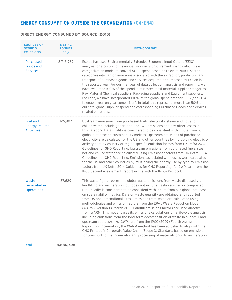#### **ENERGY CONSUMPTION OUTSIDE THE ORGANIZATION (G4-EN4)**

#### **DIRECT ENERGY CONSUMED BY SOURCE (2015)**

| <b>SOURCES OF</b><br><b>SCOPE 3</b><br><b>EMISSIONS</b>       | <b>METRIC</b><br><b>TONNES</b><br>$CO2$ e | <b>METHODOLOGY</b>                                                                                                                                                                                                                                                                                                                                                                                                                                                                                                                                                                                                                                                                                                                                                                                                                                                                                                                                                                                                                                                                  |
|---------------------------------------------------------------|-------------------------------------------|-------------------------------------------------------------------------------------------------------------------------------------------------------------------------------------------------------------------------------------------------------------------------------------------------------------------------------------------------------------------------------------------------------------------------------------------------------------------------------------------------------------------------------------------------------------------------------------------------------------------------------------------------------------------------------------------------------------------------------------------------------------------------------------------------------------------------------------------------------------------------------------------------------------------------------------------------------------------------------------------------------------------------------------------------------------------------------------|
| Purchased<br>Goods and<br><b>Services</b>                     | 8,715,979                                 | Ecolab has used Environmentally Extended Economic Input Output (EEIO)<br>analysis for a portion of its annual supplier & procurement spend data. This is<br>categorization model to convert \$USD spend based on relevant NAICS sector<br>categories into carbon emissions associated with the extraction, production and<br>transport of purchased goods and services acquired or purchased by Ecolab in<br>the reported year. For our first year of data collection, analysis and reporting, we<br>have evaluated 100% of the spend in our three most material supplier categories:<br>Raw Material Chemical suppliers, Packaging suppliers and Equipment suppliers.<br>For each, we have incorporated 100% of the global spend data for 2015 (and 2014<br>to enable year on year comparison). In total, this represents more than 50% of<br>our total global supplier spend and corresponding Purchased Goods and Services<br>related emissions.                                                                                                                                 |
| <b>Fuel and</b><br><b>Energy Related</b><br><b>Activities</b> | 126,987                                   | Upstream emissions from purchased fuels, electricity, steam and hot and<br>chilled water, include generation and T&D emissions and any other losses in<br>this category. Data quality is considered to be consistent with inputs from our<br>global database on sustainability metrics. Upstream emissions of purchased<br>electricity are calculated for the US and other countries by multiplying electricity<br>activity data by country or region specific emission factors from UK Defra 2014<br>Guidelines for GHG Reporting. Upstream emissions from purchased fuels, steam,<br>hot and chilled water are calculated using emissions factors from UK Defra 2014<br>Guidelines for GHG Reporting. Emissions associated with losses were calculated<br>for the US and other countries by multiplying the energy use by type by emission<br>factors from UK Defra 2014 Guidelines for GHG Reporting. All GWPs are from the<br>IPCC Second Assessment Report in line with the Kyoto Protocol.                                                                                    |
| Waste<br>Generated in<br>Operations                           | 37,629                                    | This waste figure represents global waste emissions from waste disposed via<br>landfilling and incineration, but does not include waste recycled or composted.<br>Data quality is considered to be consistent with inputs from our global database<br>on sustainability metrics. Data on waste quantity are obtained and reported<br>from US and International sites. Emissions from waste are calculated using<br>methodologies and emission factors from the EPA's Waste Reduction Model<br>(WARM), version 13, March 2015. Landfill emissions factors are used directly<br>from WARM. This model bases its emissions calculations on a life-cycle analysis,<br>including emissions from the long-term decomposition of waste in a landfill and<br>upstream sources/sinks. GWPs are from the IPCC (2007) Fourth Assessment<br>Report. For incineration, the WARM method has been adjusted to align with the<br>GHG Protocol's Corporate Value Chain (Scope 3) Standard, based on emissions<br>for transport to the incinerator and processing of materials prior to incineration. |
| <b>Total</b>                                                  | 8,880,595                                 |                                                                                                                                                                                                                                                                                                                                                                                                                                                                                                                                                                                                                                                                                                                                                                                                                                                                                                                                                                                                                                                                                     |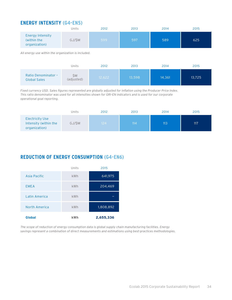#### **ENERGY INTENSITY (G4-EN5)**

|                                                         | Units  | 2012 | 2013 | 2014 | 2015 |
|---------------------------------------------------------|--------|------|------|------|------|
| <b>Energy Intensity</b><br>(within the<br>organization) | GJ/\$M | 599  | 597  | 589  | 625  |

*All energy use within the organization is included.* 

|                                                   | Units             | 2012   | 2013   | 2014   | 2015   |
|---------------------------------------------------|-------------------|--------|--------|--------|--------|
| <b>Ratio Denominator -</b><br><b>Global Sales</b> | \$Μ<br>(adjusted) | 12,622 | 13,598 | 14,361 | 13,725 |

*Fixed currency USD. Sales figures represented are globally adjusted for inflation using the Producer Price Index. This ratio denominator was used for all intensities shown for GRI-EN indicators and is used for our corporate operational goal reporting.* 

|                                                                  | Units  | 2012 | 2013 | 2014 | 2015 |
|------------------------------------------------------------------|--------|------|------|------|------|
| <b>Electricity Use</b><br>Intensity (within the<br>organization) | GJ/\$M | 124  | 114  | 113  | 117  |

#### **REDUCTION OF ENERGY CONSUMPTION (G4-EN6)**

|               | Units      | 2015      |
|---------------|------------|-----------|
| Asia Pacific  | kWh        | 641,975   |
| <b>EMEA</b>   | kWh        | 204,469   |
| Latin America | kWh        |           |
| North America | kWh        | 1,808,892 |
| <b>Global</b> | <b>kWh</b> | 2,655,336 |

*The scope of reduction of energy consumption data is global supply chain manufacturing facilities. Energy savings represent a combination of direct measurements and estimations using best-practices methodologies.*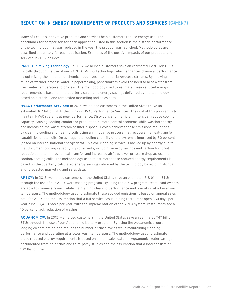#### **REDUCTION IN ENERGY REQUIREMENTS OF PRODUCTS AND SERVICES (G4-EN7)**

Many of Ecolab's innovative products and services help customers reduce energy use. The benchmark for comparison for each application listed in this section is the historic performance of the technology that was replaced in the year the product was launched. Methodologies are described separately for each application. Examples of the positive impacts of our products and services in 2015 include:

**PARETO™ Mixing Technology:** In 2015, we helped customers save an estimated 1.2 trillion BTUs globally through the use of our PARETO Mixing Technology, which enhances chemical performance by optimizing the injection of chemical additives into industrial-process streams. By allowing reuse of warmer process water in papermaking, papermakers avoid the need to heat water from freshwater temperature to process. The methodology used to estimate these reduced energy requirements is based on the quarterly calculated energy savings delivered by the technology based on historical and forecasted marketing and sales data.

**HVAC Performance Services:** In 2015, we helped customers in the United States save an estimated 367 billion BTUs through our HVAC Performance Services. The goal of this program is to maintain HVAC systems at peak performance. Dirty coils and inefficient filters can reduce cooling capacity, causing cooling-comfort or production-climate-control problems while wasting energy and increasing the waste stream of filter disposal. Ecolab achieves these emissions reductions by cleaning cooling and heating coils using an innovative process that recovers the heat-transfer capabilities of the coils. On average, the cooling capacity of the system is improved by 50 percent (based on internal national energy data). This coil-cleaning service is backed up by energy audits that document cooling capacity improvements, including energy savings and carbon-footprint reduction due to improved heat transfer and increased airflow/lower pressure drop across the cooling/heating coils. The methodology used to estimate these reduced energy requirements is based on the quarterly calculated energy savings delivered by the technology based on historical and forecasted marketing and sales data.

**APEX™:** In 2015, we helped customers in the United States save an estimated 518 billion BTUs through the use of our APEX warewashing program. By using the APEX program, restaurant owners are able to minimize rewash while maintaining cleaning performance and operating at a lower wash temperature. The methodology used to estimate these avoided emissions is based on annual sales data for APEX and the assumption that a full-service casual dining restaurant open 364 days per year runs 127,400 racks per year. With the implementation of the APEX system, restaurants see a 10 percent rack reduction of washes.

**AQUANOMIC™:** In 2015, we helped customers in the United States save an estimated 747 billion BTUs through the use of our Aquanomic laundry program. By using the Aquanomic program, lodging owners are able to reduce the number of rinse cycles while maintaining cleaning performance and operating at a lower wash temperature. The methodology used to estimate these reduced energy requirements is based on annual sales data for Aquanomic, water savings documented from field trials and third-party studies and the assumption that a load consists of 100 lbs. of linen.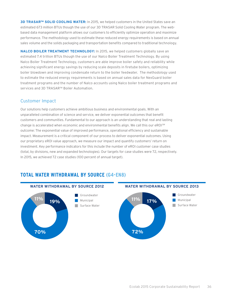**3D TRASAR™ SOLID COOLING WATER:** In 2015, we helped customers in the United States save an estimated 673 million BTUs though the use of our 3D TRASAR Solid Cooling Water program. The webbased data management platform allows our customers to efficiently optimize operation and maximize performance. The methodology used to estimate these reduced energy requirements is based on annual sales volume and the solids packaging and transportation benefits compared to traditional technology.

**NALCO BOILER TREATMENT TECHNOLOGY:** In 2015, we helped customers globally save an estimated 7.4 trillion BTUs though the use of our Nalco Boiler Treatment Technology. By using Nalco Boiler Treatment Technology, customers are able improve boiler safety and reliability while achieving significant energy savings by reducing scale deposits in firetube boilers, optimizing boiler blowdown and improving condensate return to the boiler feedwater. The methodology used to estimate the reduced energy requirements is based on annual sales data for NexGuard boiler treatment programs and the number of Nalco accounts using Nalco boiler treatment programs and services and 3D TRASAR™ Boiler Automation.

#### Customer Impact

Our solutions help customers achieve ambitious business and environmental goals. With an unparalleled combination of science and service, we deliver exponential outcomes that benefit customers and communities. Fundamental to our approach is an understanding that real and lasting change is accelerated when economic and environmental benefits align. We call this our eROISM outcome: The exponential value of improved performance, operational efficiency and sustainable impact. Measurement is a critical component of our process to deliver exponential outcomes. Using our proprietary eROI value approach, we measure our impact and quantify customers' return on investment. Key performance indicators for this include the number of eROI customer case studies (total, by divisions, new and expanded technologies). Our targets for case studies were 72, respectively. In 2015, we achieved 72 case studies (100 percent of annual target).

#### **TOTAL WATER WITHDRAWAL BY SOURCE (G4-EN8)**

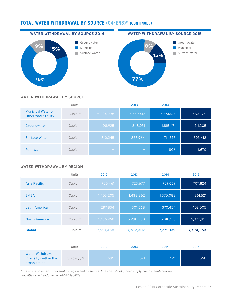### **TOTAL WATER WITHDRAWAL BY SOURCE (G4-EN8)\* (CONTINUED)**

#### **WATER WITHDRAWAL BY SOURCE 2014**









#### **WATER WITHDRAWAL BY SOURCE**

|                                                         | Units   | 2012      | 2013      | 2014      | 2015      |
|---------------------------------------------------------|---------|-----------|-----------|-----------|-----------|
| <b>Municipal Water or</b><br><b>Other Water Utility</b> | Cubic m | 5,294,298 | 5,559,412 | 5,873,536 | 5,987,971 |
| Groundwater                                             | Cubic m | 1,408,925 | 1,348,931 | 1,185,471 | 1,211,205 |
| Surface Water                                           | Cubic m | 810,245   | 853,964   | 711,525   | 593,418   |
| <b>Rain Water</b>                                       | Cubic m | $\sim$    | -         | 806       | 1,670     |

#### **WATER WITHDRAWAL BY REGION**

| <b>Global</b> | Cubic m | 7,513,468 | 7,762,307 | 7,771,339 | 7,794,263 |
|---------------|---------|-----------|-----------|-----------|-----------|
| North America | Cubic m | 5,106,968 | 5,298,200 | 5,318,138 | 5,322,913 |
| Latin America | Cubic m | 297,834   | 301,568   | 370,454   | 402,005   |
| <b>EMEA</b>   | Cubic m | 1,403,205 | 1,438,862 | 1,375,088 | 1,361,521 |
| Asia Pacific  | Cubic m | 705,461   | 723,677   | 707,659   | 707,824   |
|               | Units   | 2012      | 2013      | 2014      | 2015      |

|                                                            | Units       | 2012 | 2013 | 2014 | 2015 |
|------------------------------------------------------------|-------------|------|------|------|------|
| Water Withdrawal<br>Intensity (within the<br>organization) | Cubic m/\$M | 5957 | 571  | 541  | 568  |

*\*The scope of water withdrawal by region and by source data consists of global supply-chain manufacturing facilities and headquarters/RD&E facilities.*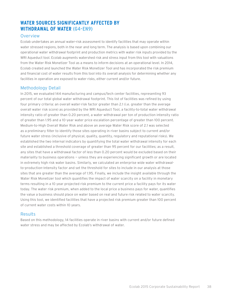# **WATER SOURCES SIGNIFICANTLY AFFECTED BY WITHDRAWAL OF WATER (G4-EN9)**

#### **Overview**

Ecolab undertakes an annual water-risk assessment to identify facilities that may operate within water stressed regions, both in the near and long term. The analysis is based upon combining our operational water withdrawal footprint and production metrics with water risk inputs provided by the WRI Aqueduct tool. Ecolab augments watershed risk and stress input from this tool with valuations from the Water Risk Monetizer Tool as a means to inform decisions at an operational level. In 2014, Ecolab created and launched the Water Risk Monetizer Tool and has incorporated the risk premium and financial cost of water results from this tool into its overall analysis for determining whether any facilities in operation are exposed to water risks, either current and/or future.

### Methodology Detail

In 2015, we evaluated 144 manufacturing and campus/tech center facilities, representing 93 percent of our total global water withdrawal footprint. This list of facilities was refined by using four primary criteria: an overall water-risk factor greater than 2.1 (i.e. greater than the average overall water risk score) as provided by the WRI Aqueduct Tool, a facility-to-total water withdrawal intensity ratio of greater than 0.20 percent, a water withdrawal per ton of production intensity ratio of greater than 1.95 and a 10-year water price escalation percentage of greater than 100 percent. Medium-to-High Overall Water Risk and above an average Water Risk score of 2.1 was selected as a preliminary filter to identify those sites operating in river basins subject to current and/or future water stress (inclusive of physical, quality, quantity, regulatory and reputational risks). We established the two internal indicators by quantifying the total water withdrawal intensity for each site and established a threshold coverage of greater than 95 percent for our facilities; as a result, any sites that have a withdrawal factor of less than 0.20 percent would be excluded based on their materiality to business operations — unless they are experiencing significant growth or are located in extremely high risk water basins. Similarly, we calculated an enterprise wide water withdrawalto-production-intensity factor and set the threshold for sites to include in our analysis at those sites that are greater than the average of 1.95. Finally, we include the insight available through the Water Risk Monetizer tool which quantifies the impact of water scarcity on a facility in monetary terms resulting in a 10 year projected risk premium to the current price a facility pays for its water today. The water risk premium, when added to the local price a business pays for water, quantifies the value a business should place on water based on real and future risk related to water scarcity. Using this tool, we identified facilities that have a projected risk premium greater than 100 percent of current water costs within 10 years.

### Results

Based on this methodology, 14 facilities operate in river basins with current and/or future defined water stress and may be affected by Ecolab's withdrawal of water.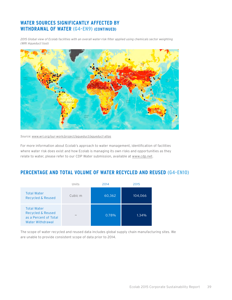# **WATER SOURCES SIGNIFICANTLY AFFECTED BY WITHDRAWAL OF WATER (G4-EN9) (CONTINUED)**

*2015 Global view of Ecolab facilities with an overall water-risk filter applied using chemicals sector weighting (WRI Aqueduct tool)*



*Source: [www.wri.org/our-work/project/aqueduct/aqueduct-atlas](http://www.wri.org/our-work/project/aqueduct/aqueduct-atlas)*

For more information about Ecolab's approach to water management, identification of facilities where water risk does exist and how Ecolab is managing its own risks and opportunities as they relate to water, please refer to our CDP Water submission, available at [www.cdp.net.](http://www.cdp.net)

# **PERCENTAGE AND TOTAL VOLUME OF WATER RECYCLED AND REUSED (G4-EN10)**

|                                                                                                 | Units                    | 2014   | 2015    |
|-------------------------------------------------------------------------------------------------|--------------------------|--------|---------|
| <b>Total Water</b><br>Recycled & Reused                                                         | Cubic m                  | 60,362 | 104,066 |
| <b>Total Water</b><br><b>Recycled &amp; Reused</b><br>as a Percent of Total<br>Water Withdrawal | $\overline{\phantom{a}}$ | 0.78%  | 1.34%   |

The scope of water recycled and reused data includes global supply chain manufacturing sites. We are unable to provide consistent scope of data prior to 2014.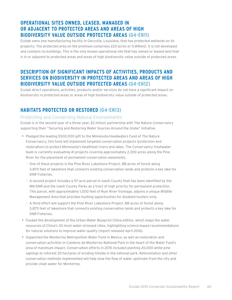# **OPERATIONAL SITES OWNED, LEASED, MANAGED IN OR ADJACENT TO PROTECTED AREAS AND AREAS OF HIGH BIODIVERSITY VALUE OUTSIDE PROTECTED AREAS (G4-EN11)**

Ecolab owns one manufacturing facility in Garyville, Louisiana, that has protected wetlands on its property. The protected area on the premises comprises 220 acres or 0.89km2. It is not developed and contains no buildings. This is the only known operational site that has owned or leased land that is in or adjacent to protected areas and areas of high biodiversity value outside of protected areas.

# **DESCRIPTION OF SIGNIFICANT IMPACTS OF ACTIVITIES, PRODUCTS AND SERVICES ON BIODIVERSITY IN PROTECTED AREAS AND AREAS OF HIGH BIODIVERSITY VALUE OUTSIDE PROTECTED AREAS (G4-EN12)**

Ecolab direct operations, activities, products and/or services do not have a significant impact on biodiversity in protected areas or areas of high biodiversity value outside of protected areas.

# **HABITATS PROTECTED OR RESTORED (G4-EN13)**

#### Protecting and Conserving Natural Environments

Ecolab is in the second year of a three-year, \$2 million partnership with The Nature Conservancy supporting their "Securing and Restoring Water Sources Around the Globe" Initiative.

- Pledged the leading \$500,000 gift to the Minnesota Headwaters Fund of The Nature Conservancy; this fund will implement targeted conservation projects (protection and restoration) to protect Minnesota's healthiest rivers and lakes. The Conservancy freshwater team is currently evaluating 41 projects covering approximately 2,300 acres along the Pine River for the placement of permanent conservation easements.
	- One of these projects is the Pine River Lakeshore Project, 88 acres of forest along 3,870 feet of lakeshore that connects existing conservation lands and protects a key lake for DNR Fisheries.
	- A second project includes a 57-acre parcel in Isanti County that has been identified by the MN DNR and the Isanti County Parks as a tract of high priority for permanent protection. This parcel, with approximately 1,000 feet of Rum River frontage, adjoins a unique Wildlife Management Area that provides hunting opportunities for disabled hunters only.
	- A third effort will support the Pine River Lakeshore Project, 88 acres of forest along 3,870 feet of lakeshore that connects existing conservation lands and protects a key lake for DNR Fisheries.
- Funded the development of the Urban Water Blueprint China edition, which maps the water resources of China's 30 most water-stressed cities, highlighting science-based recommendations for natural solutions to improve water quality (report released April 2016).
- • Supported the Monterrey Metropolitan Water Fund in Mexico, as well as restoration and conservation activities in Cumbres de Monterrey National Park in the heart of the Water Fund's area of maximum impact. Conservation efforts in 2015 included planting 20,000 white pine saplings to reforest 20 hectares of eroding hillside in the national park. Reforestation and other conservation methods implemented will help slow the flow of water upstream from the city and provide clean water for Monterrey.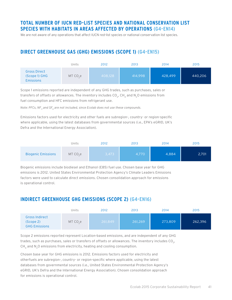# **TOTAL NUMBER OF IUCN RED-LIST SPECIES AND NATIONAL CONSERVATION LIST SPECIES WITH HABITATS IN AREAS AFFECTED BY OPERATIONS (G4-EN14)**

We are not aware of any operations that affect IUCN red-list species or national conservation list species.

# **DIRECT GREENHOUSE GAS (GHG) EMISSIONS (SCOPE 1) (G4-EN15)**

|                                                          | Units               | 2012    | 2013    | 2014    | 2015    |
|----------------------------------------------------------|---------------------|---------|---------|---------|---------|
| <b>Gross Direct</b><br>(Scope 1) GHG<br><b>Emissions</b> | MT CO <sub>se</sub> | 408,128 | 414,998 | 428,499 | 440,206 |

Scope 1 emissions reported are independent of any GHG trades, such as purchases, sales or transfers of offsets or allowances. The inventory includes  $CO<sub>2</sub>$ , CH<sub>4</sub> and N<sub>2</sub>O emissions from fuel consumption and HFC emissions from refrigerant use.

<code>Note: PFCs, NF</code>  $_{\tiny 3}$  and SF $_{\tiny 6}$  are not included, since Ecolab does not use these compounds.

Emissions factors used for electricity and other fuels are subregion-, country- or region-specific where applicable, using the latest databases from governmental sources (i.e., EPA's eGRID, UK's Defra and the International Energy Association).

|                           | Units                | 2012  | 2013  | 2014  | 2015  |
|---------------------------|----------------------|-------|-------|-------|-------|
| <b>Biogenic Emissions</b> | MT CO <sub>2</sub> e | 3,473 | 4,770 | 4,884 | 2,701 |

Biogenic emissions include biodiesel and Ethanol (E85) fuel use. Chosen base year for GHG emissions is 2012. United States Environmental Protection Agency's Climate Leaders Emissions factors were used to calculate direct emissions. Chosen consolidation approach for emissions is operational control.

## **INDIRECT GREENHOUSE GHG EMISSIONS (SCOPE 2) (G4-EN16)**

|                                                            | Units               | 2012    | 2013    | 2014    | 2015    |
|------------------------------------------------------------|---------------------|---------|---------|---------|---------|
| <b>Gross Indirect</b><br>(Scope 2)<br><b>GHG Emissions</b> | MT CO <sub>se</sub> | 261,849 | 261,269 | 273,809 | 262,396 |

Scope 2 emissions reported represent Location-based emissions, and are independent of any GHG trades, such as purchases, sales or transfers of offsets or allowances. The inventory includes  $CO<sub>2</sub>$ ,  $CH<sub>A</sub>$  and N<sub>2</sub>O emissions from electricity, heating and cooling consumption.

Chosen base year for GHG emissions is 2012. Emissions factors used for electricity and otherfuels are subregion-, country- or region-specific where applicable, using the latest databases from governmental sources (i.e., United States Environmental Protection Agency's eGRID, UK's Defra and the International Energy Association). Chosen consolidation approach for emissions is operational control.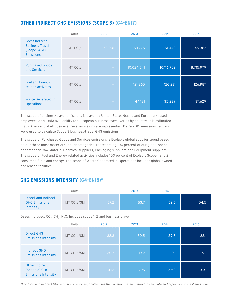# **OTHER INDIRECT GHG EMISSIONS (SCOPE 3) (G4-EN17)**

|                                                                                      | Units      | 2012   | 2013       | 2014       | 2015      |
|--------------------------------------------------------------------------------------|------------|--------|------------|------------|-----------|
| <b>Gross Indirect</b><br><b>Business Travel</b><br>(Scope 3) GHG<br><b>Emissions</b> | $MT CO2$ e | 52,001 | 53,775     | 51,442     | 45,363    |
| <b>Purchased Goods</b><br>and Services                                               | $MT CO2$ e |        | 10,024,541 | 10,116,702 | 8,715,979 |
| <b>Fuel and Energy</b><br>related activities                                         | $MT CO2$ e |        | 121,365    | 126,231    | 126,987   |
| <b>Waste Generated in</b><br><b>Operations</b>                                       | $MT CO2$ e |        | 44,181     | 35,239     | 37,629    |

The scope of business-travel emissions is travel by United States–based and European-based employees only. Data availability for European business travel varies by country. It is estimated that 70 percent of all business travel emissions are represented. Defra 2015 emissions factors were used to calculate Scope 3 business-travel GHG emissions.

The scope of Purchased Goods and Services emissions is Ecolab's global supplier spend based on our three most material supplier categories, representing 100 percent of our global spend per category Raw Material Chemical suppliers, Packaging suppliers and Equipment suppliers. The scope of Fuel and Energy related activities includes 100 percent of Ecolab's Scope 1 and 2 consumed fuels and energy. The scope of Waste Generated in Operations includes global owned and leased facilities.

# **GHG EMISSIONS INTENSITY (G4-EN18)\***

|                                                          | Units                    | 2012 | 2013 | 2014 | 2015 |
|----------------------------------------------------------|--------------------------|------|------|------|------|
| Direct and Indirect<br><b>GHG Emissions</b><br>Intensity | MT CO <sub>2</sub> e/\$M | 57.2 | 53.7 | 52.5 | 54.5 |

Gases included:  $CO_{2}$ ,  $CH_{4}$ , N<sub>2</sub>O. Includes scope 1, 2 and business travel.

|                                                               | Units                    | 2012 | 2013 | 2014 | 2015 |
|---------------------------------------------------------------|--------------------------|------|------|------|------|
| <b>Direct GHG</b><br><b>Emissions Intensity</b>               | MT CO <sub>2</sub> e/SM  | 32.3 | 30.5 | 29.8 | 32.1 |
| <b>Indirect GHG</b><br><b>Emissions Intensity</b>             | MT CO <sub>2</sub> e/\$M | 20.7 | 19.2 | 19.1 | 19.1 |
| Other Indirect<br>(Scope 3) GHG<br><b>Emissions Intensity</b> | MT CO <sub>2</sub> e/SM  | 4.12 | 3.95 | 3.58 | 3.31 |

Ecolab 2015 Corporate Sustainability Report 42 *\*For Total and Indirect GHG emissions reported, Ecolab uses the Location-based method to calculate and report its Scope 2 emissions.*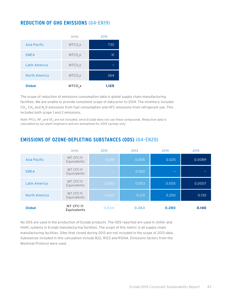# **REDUCTION OF GHG EMISSIONS (G4-EN19)**

|               | Units               | 2015  |
|---------------|---------------------|-------|
| Asia Pacific  | MTCO <sub>2</sub> e | 730   |
| <b>EMEA</b>   | MTCO <sub>2</sub> e | 31    |
| Latin America | MTCO <sub>2</sub> e |       |
| North America | MTCO <sub>2</sub> e | 364   |
| <b>Global</b> | MTCO <sub>2</sub> e | 1,125 |

The scope of reduction of emissions consumption data is global supply chain manufacturing facilities. We are unable to provide consistent scope of data prior to 2014. The inventory includes CO<sub>2</sub>, CH<sub>A</sub> and N<sub>2</sub>O emissions from fuel consumption and HFC emissions from refrigerant use. This includes both scope 1 and 2 emissions.

<code>Note: PFCs, NF</code>  $_{3}$  and SF  $_{6}$  are not included, since Ecolab does not use these compounds. Reduction data is *calculated by our plant engineers and are annualized for 2015 savings only.*

|               | Units                           | 2012   | 2013  | 2014  | 2015   |
|---------------|---------------------------------|--------|-------|-------|--------|
| Asia Pacific  | MT CFC-11<br>Equivalents        | 0.019  | 0.005 | 0.025 | 0.0089 |
| <b>EMEA</b>   | MT CFC-11<br>Equivalents        | $\sim$ | 0.024 | -     |        |
| Latin America | MT CFC-11<br>Equivalents        | 0.003  | 0.003 | 0.005 | 0.0007 |
| North America | MT CFC-11<br>Equivalents        | 0.622  | 0.231 | 0.250 | 0.130  |
| <b>Global</b> | MT CFC-11<br><b>Equivalents</b> | 0.644  | 0.263 | 0.280 | 0.140  |

# **EMISSIONS OF OZONE-DEPLETING SUBSTANCES (ODS) (G4-EN20)**

No ODS are used in the production of Ecolab products. The ODS reported are used in chiller and HVAC systems in Ecolab manufacturing facilities. The scope of this metric is all supply-chain manufacturing facilities. Sites that closed during 2013 are not included in the scope of 2013 data. Substances included in this calculation include R22, R123 and R124A. Emissions factors from the Montreal Protocol were used.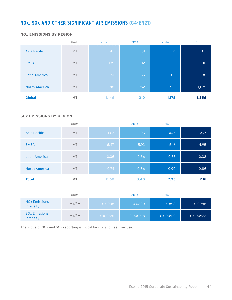# **NOx, SOx AND OTHER SIGNIFICANT AIR EMISSIONS (G4-EN21)**

#### **NOx EMISSIONS BY REGION**

|                      | Units     | 2012  | 2013  | 2014  | 2015  |
|----------------------|-----------|-------|-------|-------|-------|
| Asia Pacific         | <b>MT</b> | 42    | 81    | 71    | 82    |
| <b>EMEA</b>          | <b>MT</b> | 135   | 112   | 112   | 111   |
| Latin America        | <b>MT</b> | 51    | 55    | 80    | 88    |
| <b>North America</b> | <b>MT</b> | 918   | 962   | 912   | 1,075 |
| <b>Global</b>        | <b>MT</b> | 1,146 | 1,210 | 1,175 | 1,356 |

#### **SOx EMISSIONS BY REGION**

|                      | Units     | 2012 | 2013 | 2014 | 2015 |
|----------------------|-----------|------|------|------|------|
| Asia Pacific         | MT        | 1.03 | 1.06 | 0.94 | 0.97 |
| <b>EMEA</b>          | <b>MT</b> | 6.47 | 5.92 | 5.16 | 4.95 |
| Latin America        | <b>MT</b> | 0.36 | 0.56 | 0.33 | 0.38 |
| <b>North America</b> | <b>MT</b> | 0.74 | 0.86 | 0.90 | 0.86 |
| <b>Total</b>         | <b>MT</b> | 8.60 | 8.40 | 7.33 | 7.16 |

|                                              | Units | 2012     | 2013     | 2014     | 2015     |
|----------------------------------------------|-------|----------|----------|----------|----------|
| <b>NO<sub>x</sub></b> Emissions<br>Intensity | MT/SM | 0.0908   | 0.0890   | 0.0818   | 0.0988   |
| <b>SOX Emissions</b><br>Intensity            | MT/SM | 0.000681 | 0.000618 | 0.000510 | 0.000522 |

The scope of NOx and SOx reporting is global facility and fleet fuel use.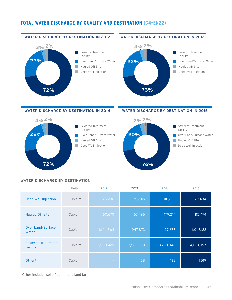## **TOTAL WATER DISCHARGE BY QUALITY AND DESTINATION (G4-EN22)**

#### **WATER DISCHARGE BY DESTINATION IN 2012**



#### **WATER DISCHARGE BY DESTINATION IN 2013**



#### **WATER DISCHARGE BY DESTINATION IN 2014**



#### **WATER DISCHARGE BY DESTINATION IN 2015**



#### **WATER DISCHARGE BY DESTINATION**

|                                   | Units   | 2012      | 2013      | 2014      | 2015      |
|-----------------------------------|---------|-----------|-----------|-----------|-----------|
| Deep Well Injection               | Cubic m | 78,206    | 81,646    | 110,639   | 79,484    |
| <b>Hauled Off-site</b>            | Cubic m | 160,670   | 167,496   | 179,214   | 115,474   |
| <b>Over Land/Surface</b><br>Water | Cubic m | 1,144,564 | 1,047,873 | 1,127,678 | 1,047,122 |
| Sewer to Treatment<br>Facility    | Cubic m | 3,500,429 | 3,562,368 | 3,720,048 | 4,018,097 |
| Other*                            | Cubic m | $\sim$    | 58        | 138       | 1,519     |

\*Other includes solidification and land farm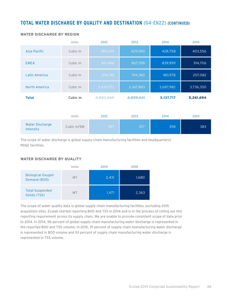### **TOTAL WATER DISCHARGE BY QUALITY AND DESTINATION (G4-EN22) (CONTINUED)**

|                                     | Units       | 2012      | 2013      | 2014      | 2015      |
|-------------------------------------|-------------|-----------|-----------|-----------|-----------|
| Asia Pacific                        | Cubic m     | 395,049   | 429,580   | 428,758   | 403,556   |
| <b>EMEA</b>                         | Cubic m     | 851,966   | 867,598   | 839,999   | 914,706   |
| Latin America                       | Cubic m     | 204,781   | 194,380   | 180,978   | 207,082   |
| North America                       | Cubic m     | 3,432,073 | 3,367,883 | 3,687,982 | 3,736,350 |
| <b>Total</b>                        | Cubic m     | 4,883,869 | 4,859,441 | 5,137,717 | 5,261,694 |
|                                     |             |           |           |           |           |
|                                     | Units       | 2012      | 2013      | 2014      | 2015      |
| <b>Water Discharge</b><br>Intensity | Cubic m/\$M | 387       | 357       | 358       | 383       |

#### **WATER DISCHARGE BY REGION**

The scope of water discharge is global supply-chain manufacturing facilities and headquarters/ RD&E facilities.

#### **WATER DISCHARGE BY QUALITY**

|                                          | Units     | 2014  | 2015  |
|------------------------------------------|-----------|-------|-------|
| <b>Biological Oxygen</b><br>Demand (BOD) | <b>MT</b> | 2,431 | 1,680 |
| <b>Total Suspended</b><br>Solids (TSS)   | <b>MT</b> | 1,471 | 2,363 |

The scope of water quality data is global supply chain manufacturing facilities, excluding 2015 acquisition sites. Ecolab started reporting BOD and TSS in 2014 and is in the process of rolling out this reporting requirement across its supply chain. We are unable to provide consistent scope of data prior to 2014. In 2014, 96 percent of global supply chain manufacturing water discharge is represented in the reported BOD and TSS volume. In 2015, 91 percent of supply chain manufacturing water discharge is represented in BOD volume and 93 percent of supply chain manufacturing water discharge is represented in TSS volume.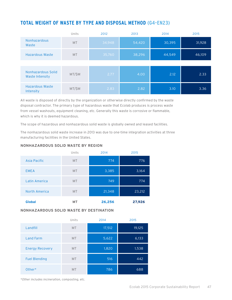# **TOTAL WEIGHT OF WASTE BY TYPE AND DISPOSAL METHOD (G4-EN23)**

|                                       | Units     | 2012   | 2013   | 2014   | 2015   |
|---------------------------------------|-----------|--------|--------|--------|--------|
| <b>Nonhazardous</b><br>Waste          | <b>MT</b> | 34,948 | 54,420 | 30,395 | 31,928 |
| Hazardous Waste                       | <b>MT</b> | 35,760 | 38,296 | 44,549 | 46,109 |
|                                       |           |        |        |        |        |
| Nonhazardous Solid<br>Waste Intensity | MT/\$M    | 2.77   | 4.00   | 2.12   | 2.33   |
| Hazardous Waste<br>Intensity          | MT/\$M    | 2.83   | 2.82   | 3.10   | 3.36   |

All waste is disposed of directly by the organization or otherwise directly confirmed by the waste disposal contractor. The primary type of hazardous waste that Ecolab produces is process waste from vessel washouts, equipment cleaning, etc. Generally this waste is corrosive or flammable, which is why it is deemed hazardous.

The scope of hazardous and nonhazardous solid waste is globally owned and leased facilities.

The nonhazardous solid waste increase in 2013 was due to one-time integration activities at three manufacturing facilities in the United States.

#### **NONHAZARDOUS SOLID WASTE BY REGION**

|               | Units     | 2014   | 2015   |
|---------------|-----------|--------|--------|
| Asia Pacific  | <b>MT</b> | 774    | 776    |
| <b>EMEA</b>   | <b>MT</b> | 3,385  | 3,164  |
| Latin America | <b>MT</b> | 749    | 774    |
| North America | <b>MT</b> | 21,348 | 23,212 |
| <b>Global</b> | <b>MT</b> | 26,256 | 27,926 |

#### **NONHAZARDOUS SOLID WASTE BY DESTINATION**

|                        | Units     | 2014   | 2015   |
|------------------------|-----------|--------|--------|
| Landfill               | <b>MT</b> | 17,512 | 19,125 |
| <b>Land Farm</b>       | <b>MT</b> | 5,622  | 6,133  |
| <b>Energy Recovery</b> | <b>MT</b> | 1,820  | 1,538  |
| <b>Fuel Blending</b>   | <b>MT</b> | 516    | 442    |
| Other*                 | <b>MT</b> | 786    | 688    |

*\*Other includes incineration, composting, etc.*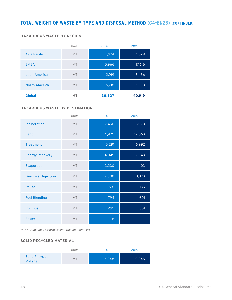### **TOTAL WEIGHT OF WASTE BY TYPE AND DISPOSAL METHOD (G4-EN23) (CONTINUED)**

#### **HAZARDOUS WASTE BY REGION**

|               | Units     | 2014   | 2015   |
|---------------|-----------|--------|--------|
| Asia Pacific  | <b>MT</b> | 2,924  | 4,329  |
| <b>EMEA</b>   | <b>MT</b> | 15,966 | 17,616 |
| Latin America | <b>MT</b> | 2,919  | 3,456  |
| North America | <b>MT</b> | 16,718 | 15,518 |
| <b>Global</b> | <b>MT</b> | 38,527 | 40,919 |

#### **HAZARDOUS WASTE BY DESTINATION**

|                        | Units     | 2014   | 2015   |
|------------------------|-----------|--------|--------|
| Incineration           | <b>MT</b> | 12,450 | 12,128 |
| Landfill               | <b>MT</b> | 9,475  | 12,563 |
| Treatment              | <b>MT</b> | 5,291  | 6,992  |
| <b>Energy Recovery</b> | <b>MT</b> | 4,045  | 2,343  |
| Evaporation            | <b>MT</b> | 3,230  | 1,403  |
| Deep Well Injection    | <b>MT</b> | 2,008  | 3,373  |
| Reuse                  | <b>MT</b> | 931    | 135    |
| <b>Fuel Blending</b>   | <b>MT</b> | 794    | 1,601  |
| Compost                | MT        | 295    | 381    |
| <b>Sewer</b>           | MT        | 8      |        |

*\*\*Other includes co-processing, fuel blending, etc.*

#### **SOLID RECYCLED MATERIAL**

|                                   | Units | 2014  | 2015   |
|-----------------------------------|-------|-------|--------|
| Solid Recycled<br><b>Material</b> | M٦    | 5,048 | 10,345 |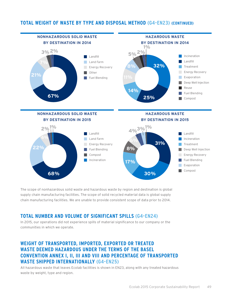### **TOTAL WEIGHT OF WASTE BY TYPE AND DISPOSAL METHOD (G4-EN23) (CONTINUED)**



The scope of nonhazardous solid waste and hazardous waste by region and destination is global supply chain manufacturing facilities. The scope of solid recycled material data is global supply chain manufacturing facilities. We are unable to provide consistent scope of data prior to 2014.

## **TOTAL NUMBER AND VOLUME OF SIGNIFICANT SPILLS (G4-EN24)**

In 2015, our operations did not experience spills of material significance to our company or the communities in which we operate.

# **WEIGHT OF TRANSPORTED, IMPORTED, EXPORTED OR TREATED WASTE DEEMED HAZARDOUS UNDER THE TERMS OF THE BASEL CONVENTION ANNEX I, II, III AND VIII AND PERCENTAGE OF TRANSPORTED WASTE SHIPPED INTERNATIONALLY (G4-EN25)**

All hazardous waste that leaves Ecolab facilities is shown in EN23, along with any treated hazardous waste by weight, type and region.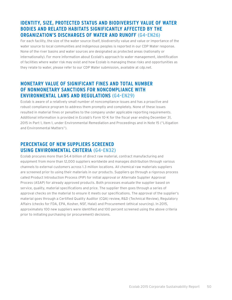# **IDENTITY, SIZE, PROTECTED STATUS AND BIODIVERSITY VALUE OF WATER BODIES AND RELATED HABITATS SIGNIFICANTLY AFFECTED BY THE ORGANIZATION'S DISCHARGES OF WATER AND RUNOFF (G4-EN26)**

For each facility, the size of the water source itself, biodiversity value and value or importance of the water source to local communities and indigenous peoples is reported in our CDP Water response. None of the river basins and water sources are designated as protected areas (nationally or internationally). For more information about Ecolab's approach to water management, identification of facilities where water risk may exist and how Ecolab is managing these risks and opportunities as they relate to water, please refer to our CDP Water submission, available at cdp.net.

# **MONETARY VALUE OF SIGNIFICANT FINES AND TOTAL NUMBER OF NONMONETARY SANCTIONS FOR NONCOMPLIANCE WITH ENVIRONMENTAL LAWS AND REGULATIONS (G4-EN29)**

Ecolab is aware of a relatively small number of noncompliance issues and has a proactive and robust compliance program to address them promptly and completely. None of these issues resulted in material fines or penalties to the company under applicable reporting requirements. Additional information is provided in Ecolab's Form 10-K for the fiscal year ending December 31, 2015 in Part 1, Item 1, under Environmental Remediation and Proceedings and in Note 15 ("Litigation and Environmental Matters").

# **PERCENTAGE OF NEW SUPPLIERS SCREENED USING ENVIRONMENTAL CRITERIA (G4-EN32)**

Ecolab procures more than \$4.4 billion of direct raw material, contract manufacturing and equipment from more than 12,000 suppliers worldwide and manages distribution through various channels to external customers across 1.3 million locations. All chemical raw materials suppliers are screened prior to using their materials in our products. Suppliers go through a rigorous process called Product Introduction Process (PIP) for initial approval or Alternate Supplier Approval Process (ASAP) for already approved products. Both processes evaluate the supplier based on service, quality, material specifications and price. The supplier then goes through a series of approval checks on the material to ensure it meets our specifications. The approval of the supplier's material goes through a Certified Quality Auditor (CQA) review, R&D (Technical Review), Regulatory Affairs (checks for FDA, EPA, Kosher, NSF, Halal) and Procurement (ethical sourcing). In 2015, approximately 100 new suppliers were identified and 100 percent screened using the above criteria prior to initiating purchasing (or procurement) decisions.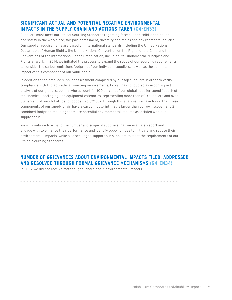# **SIGNIFICANT ACTUAL AND POTENTIAL NEGATIVE ENVIRONMENTAL IMPACTS IN THE SUPPLY CHAIN AND ACTIONS TAKEN (G4-EN33)**

Suppliers must meet our Ethical Sourcing Standards regarding forced labor, child labor, health and safety in the workplace, fair pay, harassment, diversity and ethics and environmental policies. Our supplier requirements are based on international standards including the United Nations Declaration of Human Rights, the United Nations Convention on the Rights of the Child and the Conventions of the International Labor Organization, including its Fundamental Principles and Rights at Work. In 2014, we initiated the process to expand the scope of our sourcing requirements to consider the carbon emissions footprint of our individual suppliers, as well as the sum total impact of this component of our value chain.

In addition to the detailed supplier assessment completed by our top suppliers in order to verify compliance with Ecolab's ethical sourcing requirements, Ecolab has conducted a carbon impact analysis of our global suppliers who account for 100 percent of our global supplier spend in each of the chemical, packaging and equipment categories, representing more than 600 suppliers and over 50 percent of our global cost of goods sold (COGS). Through this analysis, we have found that these components of our supply chain have a carbon footprint that is larger than our own scope 1 and 2 combined footprint, meaning there are potential environmental impacts associated with our supply chain.

We will continue to expand the number and scope of suppliers that we evaluate, report and engage with to enhance their performance and identify opportunities to mitigate and reduce their environmental impacts, while also seeking to support our suppliers to meet the requirements of our Ethical Sourcing Standards

# **NUMBER OF GRIEVANCES ABOUT ENVIRONMENTAL IMPACTS FILED, ADDRESSED AND RESOLVED THROUGH FORMAL GRIEVANCE MECHANISMS (G4-EN34)**

In 2015, we did not receive material grievances about environmental impacts.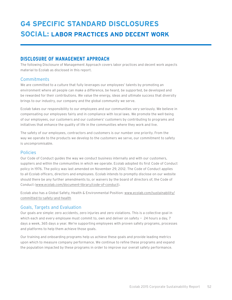# **DISCLOSURE OF MANAGEMENT APPROACH**

The following Disclosure of Management Approach covers labor practices and decent work aspects material to Ecolab as disclosed in this report.

### **Commitments**

We are committed to a culture that fully leverages our employees' talents by promoting an environment where all people can make a difference, be heard, be supported, be developed and be rewarded for their contributions. We value the energy, ideas and ultimate success that diversity brings to our industry, our company and the global community we serve.

Ecolab takes our responsibility to our employees and our communities very seriously. We believe in compensating our employees fairly and in compliance with local laws. We promote the well-being of our employees, our customers and our customers' customers by contributing to programs and initiatives that enhance the quality of life in the communities where they work and live.

The safety of our employees, contractors and customers is our number one priority. From the way we operate to the products we develop to the customers we serve, our commitment to safety is uncompromisable.

### Policies

Our Code of Conduct guides the way we conduct business internally and with our customers, suppliers and within the communities in which we operate. Ecolab adopted its first Code of Conduct policy in 1976. The policy was last amended on November 29, 2012. The Code of Conduct applies to all Ecolab officers, directors and employees. Ecolab intends to promptly disclose on our website should there be any further amendments to, or waivers by the board of directors of, the Code of Conduct [\(](http://www.ecolab.com/investors/corporate-governance/code-of-conduct)[www.ecolab.com/document-library/code-of-conduct](http://www.ecolab.com/document-library/code-of-conduct/)).

Ecolab also has a Global Safety, Health & Environmental Position: [www.ecolab.com/sustainability/](http://ecolab.com/sustainability/committed-to-safety-and-health) [committed-to-safety-and-health](http://ecolab.com/sustainability/committed-to-safety-and-health)

### Goals, Targets and Evaluation

Our goals are simple: zero accidents, zero injuries and zero violations. This is a collective goal in which each and every employee must commit to, own and deliver on safety  $-$  24 hours a day, 7 days a week, 365 days a year. We're supporting employees with proven safety programs, processes and platforms to help them achieve those goals.

Our training and onboarding programs help us achieve these goals and provide leading metrics upon which to measure company performance. We continue to refine these programs and expand the population impacted by these programs in order to improve our overall safety performance.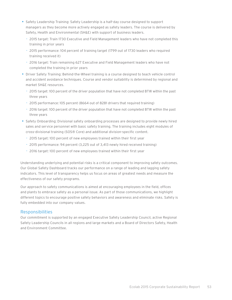- • Safety Leadership Training: Safety Leadership is a half-day course designed to support managers as they become more actively engaged as safety leaders. The course is delivered by Safety, Health and Environmental (SH&E) with support of business leaders.
	- 2015 target: Train 1730 Executive and Field Management leaders who have not completed this training in prior years
	- 2015 performance: 104 percent of training target (1799 out of 1730 leaders who required training received it)
	- 2016 target: Train remaining 627 Executive and Field Management leaders who have not completed the training in prior years
- • Driver Safety Training: Behind-the-Wheel training is a course designed to teach vehicle control and accident avoidance techniques. Course and vendor suitability is determined by regional and market SH&E resources.
	- 2015 target: 100 percent of the driver population that have not completed BTW within the past three years
	- 2015 performance: 105 percent (8664 out of 8281 drivers that required training)
	- 2016 target: 100 percent of the driver population that have not completed BTW within the past three years
- Safety Onboarding: Divisional safety onboarding processes are designed to provide newly hired sales and service personnel with basic safety training. The training includes eight modules of cross-divisional training (SOS® Core) and additional division-specific content.
	- 2015 target: 100 percent of new employees trained within their first year
	- 2015 performance: 94 percent (3,225 out of 3,413 newly hired received training)
	- 2016 target: 100 percent of new employees trained within their first year

Understanding underlying and potential risks is a critical component to improving safety outcomes. Our Global Safety Dashboard tracks our performance on a range of leading and lagging safety indicators. This level of transparency helps us focus on areas of greatest needs and measure the effectiveness of our safety programs.

Our approach to safety communications is aimed at encouraging employees in the field, offices and plants to embrace safety as a personal issue. As part of those communications, we highlight different topics to encourage positive safety behaviors and awareness and eliminate risks. Safety is fully embedded into our company values.

#### **Responsibilities**

Our commitment is supported by an engaged Executive Safety Leadership Council, active Regional Safety Leadership Councils in all regions and large markets and a Board of Directors Safety, Health and Environment Committee.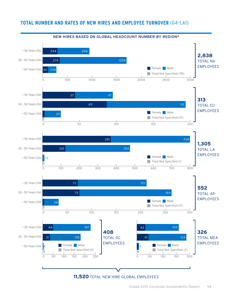### **TOTAL NUMBER AND RATES OF NEW HIRES AND EMPLOYEE TURNOVER (G4-LA1)**



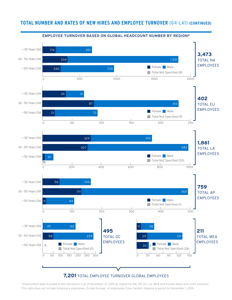## **TOTAL NUMBER AND RATES OF NEW HIRES AND EMPLOYEE TURNOVER (G4-LA1) (CONTINUED)**



### **7,201** TOTAL EMPLOYEE TURNOVER GLOBAL EMPLOYEES

Ecolab 2015 Corporate Sustainability Report 55 *\*This data does not include temporary employees, Ecolab Europe., or employees from Swisher Hygiene acquired on November 1, 2015.\* Employment data included in this disclosure is as of December 31, 2015 by region for NA, AP, GC, LA, MEA and Europe Nalco and Joint Ventures.*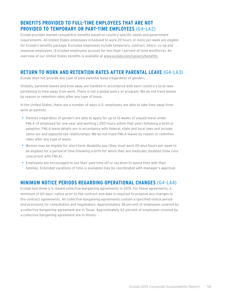# **BENEFITS PROVIDED TO FULL-TIME EMPLOYEES THAT ARE NOT PROVIDED TO TEMPORARY OR PART-TIME EMPLOYEES (G4-LA2)**

Ecolab provides market-competitive benefits based on country-specific needs and government requirements. All United States employees scheduled to work 20 hours or more per week are eligible for Ecolab's benefits package. Excluded employees include temporary, contract, intern, co-op and seasonal employees. (Excluded employees account for less than 1 percent of total workforce). An overview of our United States benefits is available at [www.ecolab.com/careers/benefits.](http://www.ecolab.com/careers/benefits)

# **RETURN TO WORK AND RETENTION RATES AFTER PARENTAL LEAVE (G4-LA3)**

Ecolab does not provide any type of paid parental leave (regardless of gender).

Globally, parental leaves and time away are handled in accordance with each country's local laws pertaining to time away from work. There is not a global policy or program. We do not track leaves by reason or retention rates after any type of leave.

In the United States, there are a number of ways U.S. employees are able to take time away from work as parents:

- Parents (regardless of gender) are able to apply for up to 12 weeks of unpaid leave under FMLA (if employed for one year and working 1,250 hours within that year) following a birth or adoption. FMLA leave details are in accordance with federal, state and local laws and include same-sex and opposite-sex relationships. We do not track FMLA leaves by reason or retention rates after any type of leave.
- • Women may be eligible for short-term disability pay (they must work 20-plus hours per week to be eligible) for a period of time following a birth for which they are medically disabled (time runs concurrent with FMLA).
- • Employees are encouraged to use their paid time off or vacation to spend time with their families. Extended vacations (if time is available) may be coordinated with manager's approval.

## **MINIMUM NOTICE PERIODS REGARDING OPERATIONAL CHANGES (G4-LA4)**

Ecolab had three U.S.-based collective-bargaining agreements in 2015. For these agreements, a minimum of 60 days' notice prior to the contract end date is required to propose any changes to the contract agreements. All collective-bargaining agreements contain a specified notice period and provisions for consultation and negotiation. Approximately 38 percent of employees covered by a collective-bargaining agreement are in Texas. Approximately 62 percent of employees covered by a collective-bargaining agreement are in Illinois.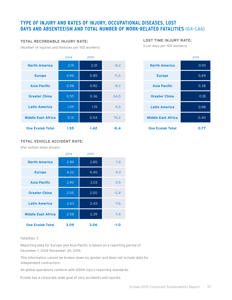# **TYPE OF INJURY AND RATES OF INJURY, OCCUPATIONAL DISEASES, LOST DAYS AND ABSENTEEISM AND TOTAL NUMBER OF WORK-RELATED FATALITIES (G4-LA6)**

#### **TOTAL RECORDABLE INJURY RATE:**

(Number of injuries and illnesses per 100 workers)

# 2014 2015 **North America** 2.19 2.01 -8.2 **Europe 12 0.96 0.85 -11.5 Asia Pacific 200 0.98 0.90 0.90 -8.2 Greater China 0.55 0.36 -34.5 Latin America 1.09 1.15 1.15 5.5 Middle East Africa 0.31 0.54 74.2 One Ecolab Total 1.55 1.42 -8.4**

#### **TOTAL VEHICLE ACCIDENT RATE:**

(Per million miles driven)

|                           | 2014 | 2015 |        |
|---------------------------|------|------|--------|
| <b>North America</b>      | 2.89 | 2.85 | $-1.4$ |
| <b>Europe</b>             | 4.22 | 4.40 | 4.3    |
| <b>Asia Pacific</b>       | 2.90 | 3.03 | 4.5    |
| <b>Greater China</b>      | 2.05 | 2.00 | $-2.4$ |
| <b>Latin America</b>      | 2.63 | 2.43 | $-7.6$ |
| <b>Middle East Africa</b> | 2.58 | 2.39 | $-7.4$ |
| <b>One Ecolab Total</b>   | 3.09 | 3.06 | -1.0   |

#### Fatalities: 3

Reporting data for Europe and Asia Pacific is based on a reporting period of December 1, 2014–November 30, 2015.

This information cannot be broken down by gender and does not include data for independent contractors.

All global operations conform with OSHA injury-reporting standards.

Ecolab has a corporate-wide goal of zero accidents and injuries.

#### **LOST TIME INJURY RATE:**

(Lost days per 100 workers)

|                           | 2015 |  |
|---------------------------|------|--|
| <b>North America</b>      | 0.93 |  |
| <b>Europe</b>             | 0.69 |  |
| <b>Asia Pacific</b>       | 0.38 |  |
| <b>Greater China</b>      | 0.18 |  |
| <b>Latin America</b>      | 0.98 |  |
| <b>Middle East Africa</b> | 0.40 |  |
| <b>One Ecolab Total</b>   | 0.77 |  |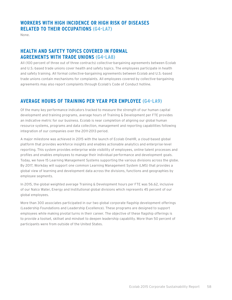### **WORKERS WITH HIGH INCIDENCE OR HIGH RISK OF DISEASES RELATED TO THEIR OCCUPATIONS (G4-LA7)**

None.

# **HEALTH AND SAFETY TOPICS COVERED IN FORMAL AGREEMENTS WITH TRADE UNIONS (G4-LA8)**

All (100 percent of three out of three contracts) collective-bargaining agreements between Ecolab and U.S.-based trade unions cover health and safety topics. The employees participate in health and safety training. All formal collective-bargaining agreements between Ecolab and U.S.-based trade unions contain mechanisms for complaints. All employees covered by collective-bargaining agreements may also report complaints through Ecolab's Code of Conduct hotline.

# **AVERAGE HOURS OF TRAINING PER YEAR PER EMPLOYEE (G4-LA9)**

Of the many key performance indicators tracked to measure the strength of our human capital development and training programs, average hours of Training & Development per FTE provides an indicative metric for our business. Ecolab is near completion of aligning our global human resource systems, programs and data collection, management and reporting capabilities following integration of our companies over the 2011-2013 period.

A major milestone was achieved in 2015 with the launch of Ecolab OneHR, a cloud-based global platform that provides workforce insights and enables actionable analytics and enterprise-level reporting. This system provides enterprise wide visibility of employees, online talent processes and profiles and enables employees to manage their individual performance and development goals. Today, we have 15 Learning Management Systems supporting the various divisions across the globe. By 2017, Workday will support one common Learning Management System (LMS) that provides a global view of learning and development data across the divisions, functions and geographies by employee segments.

In 2015, the global weighted average Training & Development hours per FTE was 56.62, inclusive of our Nalco Water, Energy and Institutional global divisions which represents 45 percent of our global employees.

More than 300 associates participated in our two global corporate flagship development offerings (Leadership Foundations and Leadership Excellence). These programs are designed to support employees while making pivotal turns in their career. The objective of these flagship offerings is to provide a toolset, skillset and mindset to deepen leadership capability. More than 50 percent of participants were from outside of the United States.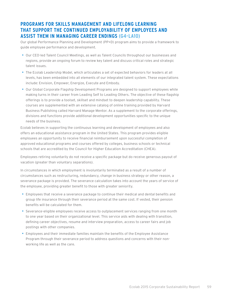# **PROGRAMS FOR SKILLS MANAGEMENT AND LIFELONG LEARNING THAT SUPPORT THE CONTINUED EMPLOYABILITY OF EMPLOYEES AND ASSIST THEM IN MANAGING CAREER ENDINGS (G4-LA10)**

Our global Performance Planning and Development (PP+D) program aims to provide a framework to guide employee performance and development.

- • Our CEO-led Talent Council Meetings, as well as Talent Councils throughout our businesses and regions, provide an ongoing forum to review key talent and discuss critical roles and strategic talent issues.
- • The Ecolab Leadership Model, which articulates a set of expected behaviors for leaders at all levels, has been embedded into all elements of our integrated talent system. These expectations include: Envision, Empower, Energize, Execute and Embody.
- • Our Global Corporate Flagship Development Programs are designed to support employees while making turns in their career from Leading Self to Leading Others. The objective of these flagship offerings is to provide a toolset, skillset and mindset to deepen leadership capability. These courses are supplemented with an extensive catalog of online training provided by Harvard Business Publishing called Harvard Manage Mentor. As a supplement to the corporate offerings, divisions and functions provide additional development opportunities specific to the unique needs of the business.

Ecolab believes in supporting the continuous learning and development of employees and also offers an educational assistance program in the United States. This program provides eligible employees an opportunity to receive financial reimbursement upon successful completion of approved educational programs and courses offered by colleges, business schools or technical schools that are accredited by the Council for Higher Education Accreditation (CHEA).

Employees retiring voluntarily do not receive a specific package but do receive generous payout of vacation (greater than voluntary separations).

In circumstances in which employment is involuntarily terminated as a result of a number of circumstances such as restructuring, redundancy, change in business strategy or other reason, a severance package is provided. The severance calculation takes into account the years of service of the employee, providing greater benefit to those with greater seniority.

- • Employees that receive a severance package to continue their medical and dental benefits and group life insurance through their severance period at the same cost. If vested, their pension benefits will be calculated for them.
- • Severance-eligible employees receive access to outplacement services ranging from one month to one year based on their organizational level. This service aids with dealing with transition, defining career objectives, resume and interview preparation, access to career fairs and job postings with other companies.
- • Employees and their immediate families maintain the benefits of the Employee Assistance Program through their severance period to address questions and concerns with their nonworking life as well as the care.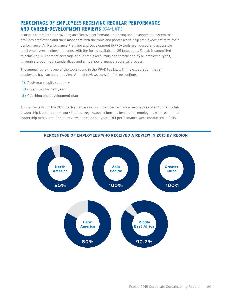# **PERCENTAGE OF EMPLOYEES RECEIVING REGULAR PERFORMANCE AND CAREER-DEVELOPMENT REVIEWS (G4-LA11)**

Ecolab is committed to providing an effective performance-planning and development system that provides employees and their managers with the tools and processes to help employees optimize their performance. All Performance Planning and Development (PP+D) tools are housed and accessible to all employees in nine languages, with the forms available in 25 languages. Ecolab is committed to achieving 100 percent coverage of our employees, male and female and by all employee types, through a predefined, standardized and annual performance-appraisal process.

The annual review is one of the tools found in the PP+D toolkit, with the expectation that all employees have an annual review. Annual reviews consist of three sections:

- 1) Past-year results summary
- 2) Objectives for new year
- 3) Coaching and development plan

Annual reviews for the 2015 performance year included performance feedback related to the Ecolab Leadership Model, a framework that conveys expectations, by level, of all employees with respect to leadership behaviors. Annual reviews for calendar year 2014 performance were conducted in 2015.



#### **PERCENTAGE OF EMPLOYEES WHO RECEIVED A REVIEW IN 2015 BY REGION**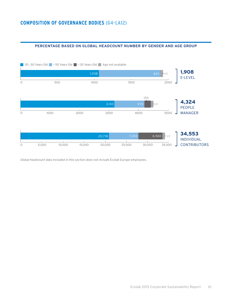#### **PERCENTAGE BASED ON GLOBAL HEADCOUNT NUMBER BY GENDER AND AGE GROUP**



*Global headcount data included in this section does not include Ecolab Europe employees.*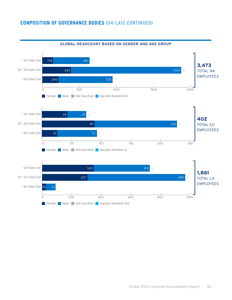### **COMPOSITION OF GOVERNANCE BODIES (G4-LA12 CONTINUED)**



#### **GLOBAL HEADCOUNT BASED ON GENDER AND AGE GROUP**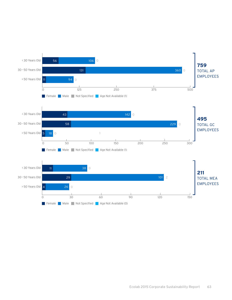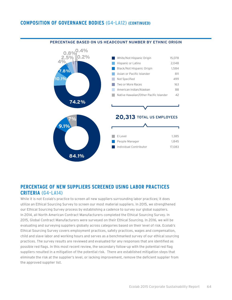### **COMPOSITION OF GOVERNANCE BODIES (G4-LA12) (CONTINUED)**



#### **PERCENTAGE BASED ON US HEADCOUNT NUMBER BY ETHNIC ORIGIN**

### **PERCENTAGE OF NEW SUPPLIERS SCREENED USING LABOR PRACTICES CRITERIA (G4-LA14)**

While it is not Ecolab's practice to screen all new suppliers surrounding labor practices; it does utilize an Ethical Sourcing Survey to screen our most material suppliers. In 2015, we strengthened our Ethical Sourcing Survey process by establishing a cadence to survey our global suppliers. In 2014, all North American Contract Manufacturers completed the Ethical Sourcing Survey. In 2015, Global Contract Manufacturers were surveyed on their Ethical Sourcing. In 2016, we will be evaluating and surveying suppliers globally across categories based on their level of risk. Ecolab's Ethical Sourcing Survey covers employment practices, safety practices, wages and compensation, child and slave labor and working hours and serves as a benchmarked survey of our ethical sourcing practices. The survey results are reviewed and evaluated for any responses that are identified as possible red flags. In this most recent review, the secondary follow-up with the potential red flag suppliers resulted in a mitigation of the potential risk. There are established mitigation steps that eliminate the risk at the supplier's level, or lacking improvement, remove the deficient supplier from the approved supplier list.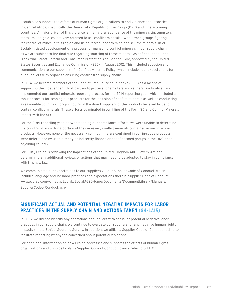Ecolab also supports the efforts of human rights organizations to end violence and atrocities in Central Africa, specifically the Democratic Republic of the Congo (DRC) and nine adjoining countries. A major driver of this violence is the natural abundance of the minerals tin, tungsten, tantalum and gold, collectively referred to as "conflict minerals," with armed groups fighting for control of mines in this region and using forced labor to mine and sell the minerals. In 2013, Ecolab initiated development of a process for managing conflict minerals in our supply chain, as we are subject to the final rule regarding sourcing of these minerals as defined in the Dodd-Frank Wall Street Reform and Consumer Protection Act, Section 1502, approved by the United States Securities and Exchange Commission (SEC) in August 2012. This included adoption and communication to our suppliers of a Conflict Minerals Policy, which includes our expectations for our suppliers with regard to ensuring conflict-free supply chains.

In 2014, we became members of the Conflict-Free Sourcing Initiative (CFSI) as a means of supporting the independent third-part audit process for smelters and refiners. We finalized and implemented our conflict minerals reporting process for the 2014 reporting year, which included a robust process for scoping our products for the inclusion of conflict minerals as well as conducting a reasonable country-of-origin inquiry of the direct suppliers of the products believed by us to contain conflict minerals. These efforts culminated in our filing of the Form SD and Conflict Minerals Report with the SEC.

For the 2015 reporting year, notwithstanding our compliance efforts, we were unable to determine the country of origin for a portion of the necessary conflict minerals contained in our in-scope products. However, none of the necessary conflict minerals contained in our in-scope products were determined by us to directly or indirectly finance or benefit armed groups in the DRC or an adjoining country.

For 2016, Ecolab is reviewing the implications of the United Kingdom Anti-Slavery Act and determining any additional reviews or actions that may need to be adopted to stay in compliance with this new law.

We communicate our expectations to our suppliers via our Supplier Code of Conduct, which includes language around labor practices and expectations therein. Supplier Code of Conduct: [www.ecolab.com/~/media/Ecolab/Ecolab%20Home/Documents/DocumentLibrary/Manuals/](http://www.ecolab.com/~/media/Ecolab/Ecolab%20Home/Documents/DocumentLibrary/Manuals/SupplierCodeofConduct.ashx) [SupplierCodeofConduct.ashx.](http://www.ecolab.com/~/media/Ecolab/Ecolab%20Home/Documents/DocumentLibrary/Manuals/SupplierCodeofConduct.ashx)

# **SIGNIFICANT ACTUAL AND POTENTIAL NEGATIVE IMPACTS FOR LABOR PRACTICES IN THE SUPPLY CHAIN AND ACTIONS TAKEN (G4-LA15)**

In 2015, we did not identify any operations or suppliers with actual or potential negative labor practices in our supply chain. We continue to evaluate our suppliers for any negative human rights impacts via the Ethical Sourcing Survey. In addition, we utilize a Supplier Code of Conduct hotline to facilitate reporting by anyone concerned about potential violations.

For additional information on how Ecolab addresses and supports the efforts of human rights organizations and upholds Ecolab's Supplier Code of Conduct, please refer to G4-LA14.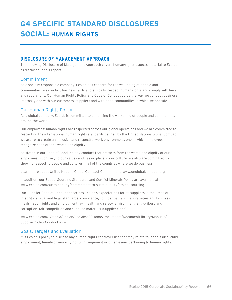# **G4 SPECIFIC STANDARD DISCLOSURES SOCIAL: HUMAN RIGHTS**

# **DISCLOSURE OF MANAGEMENT APPROACH**

The following Disclosure of Management Approach covers human-rights aspects material to Ecolab as disclosed in this report.

### Commitment

As a socially responsible company, Ecolab has concern for the well-being of people and communities. We conduct business fairly and ethically, respect human rights and comply with laws and regulations. Our Human Rights Policy and Code of Conduct guide the way we conduct business internally and with our customers, suppliers and within the communities in which we operate.

### Our Human Rights Policy

As a global company, Ecolab is committed to enhancing the well-being of people and communities around the world.

Our employees' human rights are respected across our global operations and we are committed to respecting the international human-rights standards defined by the United Nations Global Compact. We aspire to create an inclusive and respectful work environment; one in which employees recognize each other's worth and dignity.

As stated in our Code of Conduct, any conduct that detracts from the worth and dignity of our employees is contrary to our values and has no place in our culture. We also are committed to showing respect to people and cultures in all of the countries where we do business.

Learn more about United Nations Global Compact Commitment: [www.unglobalcompact.org](http://www.unglobalcompact.org)

In addition, our Ethical Sourcing Standards and Conflict Minerals Policy are available at [www.ecolab.com/sustainability/commitment-to-sustainability/ethical-sourcing.](http://www.ecolab.com/sustainability/commitment-to-sustainability/ethical-sourcing)

Our Supplier Code of Conduct describes Ecolab's expectations for its suppliers in the areas of integrity, ethical and legal standards, compliance, confidentiality, gifts, gratuities and business meals, labor rights and employment law, health and safety, environment, anti-bribery and corruption, fair competition and supplied materials (Supplier Code).

[www.ecolab.com/~/media/Ecolab/Ecolab%20Home/Documents/DocumentLibrary/Manuals/](http://www.ecolab.com/~/media/Ecolab/Ecolab%20Home/Documents/DocumentLibrary/Manuals/SupplierCodeofConduct.ashx) [SupplierCodeofConduct.ashx](http://www.ecolab.com/~/media/Ecolab/Ecolab%20Home/Documents/DocumentLibrary/Manuals/SupplierCodeofConduct.ashx)

### Goals, Targets and Evaluation

It is Ecolab's policy to disclose any human-rights controversies that may relate to labor issues, child employment, female or minority rights infringement or other issues pertaining to human rights.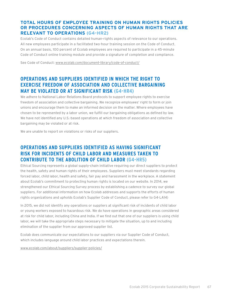### **TOTAL HOURS OF EMPLOYEE TRAINING ON HUMAN RIGHTS POLICIES OR PROCEDURES CONCERNING ASPECTS OF HUMAN RIGHTS THAT ARE RELEVANT TO OPERATIONS (G4-HR2)**

Ecolab's Code of Conduct contains detailed human-rights aspects of relevance to our operations. All new employees participate in a facilitated two-hour training session on the Code of Conduct. On an annual basis, 100 percent of Ecolab employees are required to participate in a 45-minute Code of Conduct online training module and provide a signature of completion and compliance.

See Code of Conduct: [www.ecolab.com/document-library/code-of-conduct/](http://www.ecolab.com/document-library/code-of-conduct/)

# **OPERATIONS AND SUPPLIERS IDENTIFIED IN WHICH THE RIGHT TO EXERCISE FREEDOM OF ASSOCIATION AND COLLECTIVE BARGAINING MAY BE VIOLATED OR AT SIGNIFICANT RISK (G4-HR4)**

We adhere to National Labor Relations Board protocols to support employee rights to exercise freedom of association and collective bargaining. We recognize employees' right to form or join unions and encourage them to make an informed decision on the matter. Where employees have chosen to be represented by a labor union, we fulfill our bargaining obligations as defined by law. We have not identified any U.S.-based operations at which freedom of association and collective bargaining may be violated or at risk.

We are unable to report on violations or risks of our suppliers.

# **OPERATIONS AND SUPPLIERS IDENTIFIED AS HAVING SIGNIFICANT RISK FOR INCIDENTS OF CHILD LABOR AND MEASURES TAKEN TO CONTRIBUTE TO THE ABOLITION OF CHILD LABOR (G4-HR5)**

Ethical Sourcing represents a global supply-chain initiative requiring our direct suppliers to protect the health, safety and human rights of their employees. Suppliers must meet standards regarding forced labor, child labor, health and safety, fair pay and harassment in the workplace. A statement about Ecolab's commitment to protecting human rights is located on our website. In 2014, we strengthened our Ethical Sourcing Survey process by establishing a cadence to survey our global suppliers. For additional information on how Ecolab addresses and supports the efforts of human rights organizations and upholds Ecolab's Supplier Code of Conduct, please refer to G4-LA14)

In 2015, we did not identify any operations or suppliers at significant risk of incidents of child labor or young workers exposed to hazardous risk. We do have operations in geographic areas considered at risk for child labor, including China and India. If we find out that one of our suppliers is using child labor, we will take the appropriate steps necessary to mitigate the situation, up to and including elimination of the supplier from our approved supplier list.

Ecolab does communicate our expectations to our suppliers via our Supplier Code of Conduct, which includes language around child labor practices and expectations therein.

[www.ecolab.com/about/suppliers/supplier-policies/](http://www.ecolab.com/about/suppliers/supplier-policies/)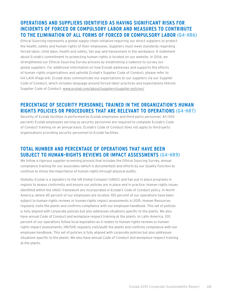# **OPERATIONS AND SUPPLIERS IDENTIFIED AS HAVING SIGNIFICANT RISKS FOR INCIDENTS OF FORCED OR COMPULSORY LABOR AND MEASURES TO CONTRIBUTE TO THE ELIMINATION OF ALL FORMS OF FORCED OR COMPULSORY LABOR (G4-HR6)**

Ethical Sourcing represents a global supply-chain initiative requiring our direct suppliers to protect the health, safety and human rights of their employees. Suppliers must meet standards regarding forced labor, child labor, health and safety, fair pay and harassment in the workplace. A statement about Ecolab's commitment to protecting human rights is located on our website. In 2014, we strengthened our Ethical Sourcing Survey process by establishing a cadence to survey our global suppliers. For additional information on how Ecolab addresses and supports the efforts of human rights organizations and upholds Ecolab's Supplier Code of Conduct, please refer to G4-LA14 (Page 64). Ecolab does communicate our expectations to our suppliers via our Supplier Code of Conduct, which includes language around forced labor practices and expectations therein. Supplier Code of Conduct: [www.ecolab.com/about/suppliers/supplier-policies/](http://www.ecolab.com/about/suppliers/supplier-policies/)

# **PERCENTAGE OF SECURITY PERSONNEL TRAINED IN THE ORGANIZATION'S HUMAN RIGHTS POLICIES OR PROCEDURES THAT ARE RELEVANT TO OPERATIONS (G4-HR7)**

Security of Ecolab facilities is performed by Ecolab employees and third-party personnel. All (100 percent) Ecolab employees serving as security personnel are required to complete Ecolab's Code of Conduct training on an annual basis. Ecolab's Code of Conduct does not apply to third-party organizations providing security personnel to Ecolab facilities.

# **TOTAL NUMBER AND PERCENTAGE OF OPERATIONS THAT HAVE BEEN SUBJECT TO HUMAN-RIGHTS REVIEWS OR IMPACT ASSESSMENTS (G4-HR9)**

We follow a rigorous supplier-screening process that includes the Ethical Sourcing Survey, annual compliance training for our associates (which is documented) and efforts by our Quality Function to continue to stress the importance of human rights through physical audits.

Globally, Ecolab is a signatory to the UN Global Compact (UNGC) and has put in place programs in regions to assess conformity and ensure our policies are in place and in practice. Human rights issues identified within the UNGC framework are incorporated in Ecolab's Code of Conduct policy. In North America, where 45 percent of our employees are located, 100 percent of our operations have been subject to human-rights reviews or human-rights impact assessments in 2015. Human Resources regularly visits the plants and confirms compliance with our employee handbook. This set of policies is fully aligned with corporate policies but also addresses situations specific to the plants. We also have annual Code of Conduct and workplace-respect training at the plants. In Latin America, 100 percent of our operations follow local legislation as it relates to human-rights reviews or humanrights impact assessments. HR/SHE regularly visit/audit the plants and confirms compliance with our employee handbook. This set of policies is fully aligned with corporate policies but also addresses situations specific to the plants. We also have annual Code of Conduct and workplace-respect training at the plants.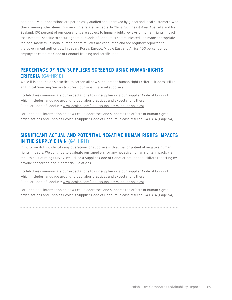Additionally, our operations are periodically audited and approved by global and local customers, who check, among other items, human-rights-related aspects. In China, Southeast Asia, Australia and New Zealand, 100 percent of our operations are subject to human-rights reviews or human-rights impact assessments, specific to ensuring that our Code of Conduct is communicated and made appropriate for local markets. In India, human-rights reviews are conducted and are regularly reported to the government authorities. In Japan, Korea, Europe, Middle East and Africa, 100 percent of our employees complete Code of Conduct training and certification.

## **PERCENTAGE OF NEW SUPPLIERS SCREENED USING HUMAN-RIGHTS CRITERIA (G4-HR10)**

While it is not Ecolab's practice to screen all new suppliers for human rights criteria, it does utilize an Ethical Sourcing Survey to screen our most material suppliers.

Ecolab does communicate our expectations to our suppliers via our Supplier Code of Conduct, which includes language around forced labor practices and expectations therein. Supplier Code of Conduct: [www.ecolab.com/about/suppliers/supplier-policies/](http://www.ecolab.com/about/suppliers/supplier-policies/)

For additional information on how Ecolab addresses and supports the efforts of human rights organizations and upholds Ecolab's Supplier Code of Conduct, please refer to G4-LA14 (Page 64).

## **SIGNIFICANT ACTUAL AND POTENTIAL NEGATIVE HUMAN-RIGHTS IMPACTS IN THE SUPPLY CHAIN (G4-HR11)**

In 2015, we did not identify any operations or suppliers with actual or potential negative human rights impacts. We continue to evaluate our suppliers for any negative human rights impacts via the Ethical Sourcing Survey. We utilize a Supplier Code of Conduct hotline to facilitate reporting by anyone concerned about potential violations.

Ecolab does communicate our expectations to our suppliers via our Supplier Code of Conduct, which includes language around forced labor practices and expectations therein. Supplier Code of Conduct: [www.ecolab.com/about/suppliers/supplier-policies/](http://www.ecolab.com/about/suppliers/supplier-policies/)

For additional information on how Ecolab addresses and supports the efforts of human rights organizations and upholds Ecolab's Supplier Code of Conduct, please refer to G4-LA14 (Page 64).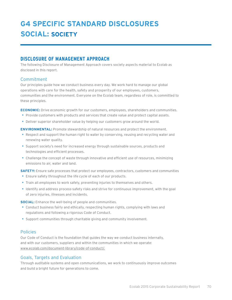# **G4 SPECIFIC STANDARD DISCLOSURES SOCIAL: SOCIETY**

# **DISCLOSURE OF MANAGEMENT APPROACH**

The following Disclosure of Management Approach covers society aspects material to Ecolab as disclosed in this report.

### Commitment

Our principles guide how we conduct business every day. We work hard to manage our global operations with care for the health, safety and prosperity of our employees, customers, communities and the environment. Everyone on the Ecolab team, regardless of role, is committed to these principles.

**ECONOMIC:** Drive economic growth for our customers, employees, shareholders and communities.

- Provide customers with products and services that create value and protect capital assets.
- Deliver superior shareholder value by helping our customers grow around the world.

**ENVIRONMENTAL:** Promote stewardship of natural resources and protect the environment.

- Respect and support the human right to water by conserving, reusing and recycling water and renewing water quality.
- • Support society's need for increased energy through sustainable sources, products and technologies and efficient processes.
- • Challenge the concept of waste through innovative and efficient use of resources, minimizing emissions to air, water and land.

**SAFETY:** Ensure safe processes that protect our employees, contractors, customers and communities

- Ensure safety throughout the life cycle of each of our products.
- • Train all employees to work safely, preventing injuries to themselves and others.
- • Identify and address process-safety risks and strive for continuous improvement, with the goal of zero injuries, illnesses and incidents.

**SOCIAL:** Enhance the well-being of people and communities.

- • Conduct business fairly and ethically, respecting human rights, complying with laws and regulations and following a rigorous Code of Conduct.
- Support communities through charitable giving and community involvement.

### Policies

Our Code of Conduct is the foundation that guides the way we conduct business internally, and with our customers, suppliers and within the communities in which we operate[:](http://www.ecolab.com/document-library/code-of-conduct/) [www.ecolab.com/document-library/code-of-conduct/.](http://www.ecolab.com/document-library/code-of-conduct/)

### Goals, Targets and Evaluation

Through auditable systems and open communications, we work to continuously improve outcomes and build a bright future for generations to come.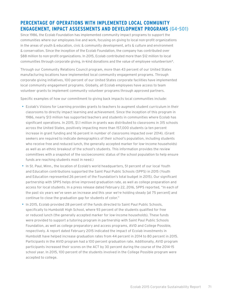# **PERCENTAGE OF OPERATIONS WITH IMPLEMENTED LOCAL COMMUNITY ENGAGEMENT, IMPACT ASSESSMENTS AND DEVELOPMENT PROGRAMS (G4-SO1)**

Since 1986, the Ecolab Foundation has implemented community impact programs to support the communities where our employees live and work, focusing on giving to local non-profit organizations in the areas of youth & education, civic & community development, arts  $\&$  culture and environment & conservation. Since the inception of the Ecolab Foundation, the company has contributed over \$88 million to non-profit organizations. In 2015, Ecolab contributed more than \$12 million to local communities through corporate giving, in-kind donations and the value of employee volunteerism\*.

Through our Community Relations Council program, more than 43 percent of our United States manufacturing locations have implemented local community engagement programs. Through corporate giving initiatives, 100 percent of our United States corporate facilities have implemented local community engagement programs. Globally, all Ecolab employees have access to team volunteer grants to implement community volunteer programs through approved partners.

Specific examples of how our commitment to giving back impacts local communities include:

- • Ecolab's Visions for Learning provides grants to teachers to augment student curriculum in their classrooms to directly impact learning and achievement. Since the inception of this program in 1986, nearly \$13 million has supported teachers and students in communities where Ecolab has significant operations. In 2015, \$1.1 million in grants was distributed to classrooms in 315 schools across the United States, positively impacting more than 157,000 students (a ten percent increase in grant funding and 16 percent in number of classrooms impacted over 2014). (Grant seekers are required to indicate demographics of their school's population, including students who receive free and reduced lunch, the generally accepted marker for low-income households) as well as an ethnic breakout of the school's students. This information provides the review committees with a snapshot of the socioeconomic status of the school population to help ensure funds are reaching students most in need.)
- In St. Paul, Minn., the location of Ecolab's world headquarters, 51 percent of our local Youth and Education contributions supported the Saint Paul Public Schools (SPPS) in 2015 (Youth and Education represented 26 percent of the Foundation's total budget in 2015). Our significant partnership with SPPS helps drive improved graduation rate, as well as college preparation and access for local students. In a press release dated February 22, 2016, SPPS reported, "In each of the past six years we've seen an increase and this year we're holding steady [at 75 percent] and continue to close the graduation gap for students of color."
- In 2015, Ecolab provided 28 percent of the funds directed to Saint Paul Public Schools, specifically to Humboldt High School, where 93 percent of the students qualified for free or reduced lunch (the generally accepted marker for low-income households). These funds were provided to support a tutoring program in partnership with Saint Paul Public Schools Foundation, as well as college preparatory and access programs, AVID and College Possible, respectively. A report dated February 2015 indicated the impact of Ecolab investments in Humboldt have helped increase graduation rates from 44 percent in 2014 to 80 percent in 2015. Participants in the AVID program had a 100 percent graduation rate. Additionally, AVID program participants increased their scores on the ACT by 30 percent during the course of the 2014-15 school year. In 2015, 100 percent of the students involved in the College Possible program were accepted to college.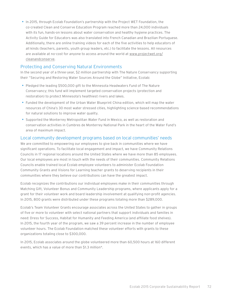• In 2015, through Ecolab Foundation's partnership with the Project WET Foundation, the co-created Clean and Conserve Education Program reached more than 24,000 individuals with its fun, hands-on lessons about water conservation and healthy hygiene practices. The Activity Guide for Educators was also translated into French Canadian and Brazilian Portuguese. Additionally, there are online training videos for each of the five activities to help educators of all kinds (teachers, parents, youth group leaders, etc.) to facilitate the lessons. All resources are available at no-cost for anyone to access around the world at [www.projectwet.org/](http://www.projectwet.org/cleanandconserve) [cleanandconserve](http://www.projectwet.org/cleanandconserve).

### Protecting and Conserving Natural Environments

In the second year of a three-year, \$2 million partnership with The Nature Conservancy supporting their "Securing and Restoring Water Sources Around the Globe" Initiative, Ecolab:

- • Pledged the leading \$500,000 gift to the Minnesota Headwaters Fund of The Nature Conservancy; this fund will implement targeted conservation projects (protection and restoration) to protect Minnesota's healthiest rivers and lakes.
- Funded the development of the Urban Water Blueprint China edition, which will map the water resources of China's 30 most water stressed cities, highlighting science-based recommendations for natural solutions to improve water quality.
- • Supported the Monterrey Metropolitan Water Fund in Mexico, as well as restoration and conservation activities in Cumbres de Monterrey National Park in the heart of the Water Fund's area of maximum impact.

#### Local community development programs based on local communities' needs

We are committed to empowering our employees to give back in communities where we have significant operations. To facilitate local engagement and impact, we have Community Relations Councils in 17 regional locations around the United States where we have more than 85 employees. Our local employees are most in touch with the needs of their communities. Community Relations Councils enable trained local Ecolab employee volunteers to administer Ecolab Foundation Community Grants and Visions for Learning teacher grants to deserving recipients in their communities where they believe our contributions can have the greatest impact.

Ecolab recognizes the contributions our individual employees make in their communities through Matching Gift, Volunteer Bonus and Community Leadership programs, where applicants apply for a grant for their volunteer work and board leadership involvement at qualifying non-profit agencies. In 2015, 800 grants were distributed under these programs totaling more than \$289,000.

Ecolab's Team Volunteer Grants encourage associates across the United States to gather in groups of five or more to volunteer with select national partners that support individuals and families in need: Dress for Success, Habitat for Humanity and Feeding America (and affiliate food shelves). In 2015, the fourth year of the program, we saw a 39 percent increase in the number of employee volunteer hours. The Ecolab Foundation matched these volunteer efforts with grants to these organizations totaling close to \$300,000.

In 2015, Ecolab associates around the globe volunteered more than 60,500 hours at 160 different events, which has a value of more than \$1.3 million\*.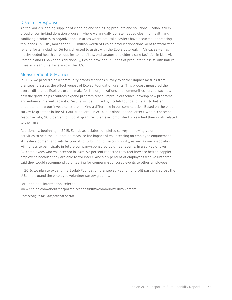#### Disaster Response

As the world's leading supplier of cleaning and sanitizing products and solutions, Ecolab is very proud of our in-kind donation program where we annually donate needed cleaning, health and sanitizing products to organizations in areas where natural disasters have occurred, benefitting thousands. In 2015, more than \$2.3 million worth of Ecolab product donations went to world-wide relief efforts, including 156 tons directed to assist with the Ebola outbreak in Africa, as well as much-needed health care supplies to hospitals, orphanages and elderly care facilities in Malawi, Romania and El Salvador. Additionally, Ecolab provided 293 tons of products to assist with natural disaster clean-up efforts across the U.S.

#### Measurement & Metrics

In 2015, we piloted a new community grants feedback survey to gather impact metrics from grantees to assess the effectiveness of Ecolab Foundation grants. This process measured the overall difference Ecolab's grants make for the organizations and communities served, such as: how the grant helps grantees expand program reach, improve outcomes, develop new programs and enhance internal capacity. Results will be utilized by Ecolab Foundation staff to better understand how our investments are making a difference in our communities. Based on the pilot survey to grantees in the St. Paul, Minn. area in 2014, our global headquarters, with 60 percent response rate, 98.5 percent of Ecolab grant recipients accomplished or reached their goals related to their grant.

Additionally, beginning in 2015, Ecolab associates completed surveys following volunteer activities to help the Foundation measure the impact of volunteering on employee engagement, skills development and satisfaction of contributing to the community, as well as our associates' willingness to participate in future company-sponsored volunteer events. In a survey of over 240 employees who volunteered in 2015, 93 percent reported they feel they are better, happier employees because they are able to volunteer. And 97.5 percent of employees who volunteered said they would recommend volunteering for company-sponsored events to other employees.

In 2016, we plan to expand the Ecolab Foundation grantee survey to nonprofit partners across the U.S. and expand the employee volunteer survey globally.

For additional information, refer to [www.ecolab.com/about/corporate-responsibility/community-involvement.](http://www.ecolab.com/about/corporate-responsibility/community-involvement)

 *\*according to the Independent Sector*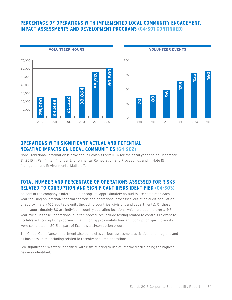#### **PERCENTAGE OF OPERATIONS WITH IMPLEMENTED LOCAL COMMUNITY ENGAGEMENT, IMPACT ASSESSMENTS AND DEVELOPMENT PROGRAMS (G4-SO1 CONTINUED)**

200

 $150$ 

100

50

 $\cap$ 



**VOLUNTEER HOURS**



**VOLUNTEER EVENTS**

# **OPERATIONS WITH SIGNIFICANT ACTUAL AND POTENTIAL NEGATIVE IMPACTS ON LOCAL COMMUNITIES (G4-SO2)**

None. Additional information is provided in Ecolab's Form 10-K for the fiscal year ending December 31, 2015 in Part 1, Item 1, under Environmental Remediation and Proceedings and in Note 15 ("Litigation and Environmental Matters").

# **TOTAL NUMBER AND PERCENTAGE OF OPERATIONS ASSESSED FOR RISKS RELATED TO CORRUPTION AND SIGNIFICANT RISKS IDENTIFIED (G4-SO3)**

As part of the company's Internal Audit program, approximately 45 audits are completed each year focusing on internal/financial controls and operational processes, out of an audit population of approximately 165 auditable units (including countries, divisions and departments). Of these units, approximately 80 are individual country operating locations which are audited over a 4-5 year cycle. In these "operational audits," procedures include testing related to controls relevant to Ecolab's anti-corruption program. In addition, approximately four anti-corruption specific audits were completed in 2015 as part of Ecolab's anti-corruption program.

The Global Compliance department also completes various assessment activities for all regions and all business units, including related to recently acquired operations.

Few significant risks were identified, with risks relating to use of intermediaries being the highest risk area identified.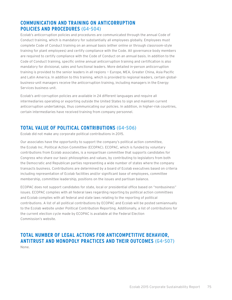# **COMMUNICATION AND TRAINING ON ANTICORRUPTION POLICIES AND PROCEDURES (G4-SO4)**

Ecolab's anticorruption policies and procedures are communicated through the annual Code of Conduct training, which is mandatory for substantially all employees globally. Employees must complete Code of Conduct training on an annual basis (either online or through classroom-style training for plant employees) and certify compliance with the Code. All governance body members are required to certify compliance with the Code of Conduct on an annual basis. In addition to the Code of Conduct training, specific online annual anticorruption training and certification is also mandatory for divisional, sales and functional leaders. More detailed in-person anticorruption training is provided to the senior leaders in all regions — Europe, MEA, Greater China, Asia Pacific and Latin America. In addition to this training, which is provided to regional leaders, certain globalbusiness-unit managers receive the anticorruption training, including managers in the Energy Services business unit.

Ecolab's anti-corruption policies are available in 24 different languages and require all intermediaries operating or exporting outside the United States to sign and maintain current anticorruption undertakings, thus communicating our policies. In addition, in higher-risk countries, certain intermediaries have received training from company personnel.

### **TOTAL VALUE OF POLITICAL CONTRIBUTIONS (G4-SO6)**

Ecolab did not make any corporate political contributions in 2015.

Our associates have the opportunity to support the company's political action committee, the Ecolab Inc. Political Action Committee (ECOPAC). ECOPAC, which is funded by voluntary contributions from Ecolab associates, is a nonpartisan committee that supports candidates for Congress who share our basic philosophies and values, by contributing to legislators from both the Democratic and Republican parties representing a wide number of states where the company transacts business. Contributions are determined by a board of Ecolab executives based on criteria including representation of Ecolab facilities and/or significant base of employees, committee membership, committee leadership, positions on the issues and partisan balance.

ECOPAC does not support candidates for state, local or presidential office based on "nonbusiness" issues. ECOPAC complies with all federal laws regarding reporting by political action committees and Ecolab complies with all federal and state laws relating to the reporting of political contributions. A list of all political contributions by ECOPAC and Ecolab will be posted semiannually to the Ecolab website under Political Contribution Reporting. Additionally, a list of contributions for the current election cycle made by ECOPAC is available at the Federal Election Commission's website.

#### **TOTAL NUMBER OF LEGAL ACTIONS FOR ANTICOMPETITIVE BEHAVIOR, ANTITRUST AND MONOPOLY PRACTICES AND THEIR OUTCOMES (G4-SO7)** None.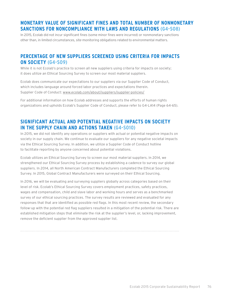# **MONETARY VALUE OF SIGNIFICANT FINES AND TOTAL NUMBER OF NONMONETARY SANCTIONS FOR NONCOMPLIANCE WITH LAWS AND REGULATIONS (G4-SO8)**

In 2015, Ecolab did not incur significant fines (some minor fines were incurred) or nonmonetary sanctions other than, in limited circumstances, site-monitoring obligations related to environmental matters.

### **PERCENTAGE OF NEW SUPPLIERS SCREENED USING CRITERIA FOR IMPACTS ON SOCIETY (G4-SO9)**

While it is not Ecolab's practice to screen all new suppliers using criteria for impacts on society; it does utilize an Ethical Sourcing Survey to screen our most material suppliers.

Ecolab does communicate our expectations to our suppliers via our Supplier Code of Conduct, which includes language around forced labor practices and expectations therein. Supplier Code of Conduct: [www.ecolab.com/about/suppliers/supplier-policies/](http://www.ecolab.com/about/suppliers/supplier-policies/)

For additional information on how Ecolab addresses and supports the efforts of human rights organizations and upholds Ecolab's Supplier Code of Conduct, please refer to G4-LA14 (Page 64-65).

### **SIGNIFICANT ACTUAL AND POTENTIAL NEGATIVE IMPACTS ON SOCIETY IN THE SUPPLY CHAIN AND ACTIONS TAKEN (G4-SO10)**

In 2015, we did not identify any operations or suppliers with actual or potential negative impacts on society in our supply chain. We continue to evaluate our suppliers for any negative societal impacts via the Ethical Sourcing Survey. In addition, we utilize a Supplier Code of Conduct hotline to facilitate reporting by anyone concerned about potential violations.

Ecolab utilizes an Ethical Sourcing Survey to screen our most material suppliers. In 2014, we strengthened our Ethical Sourcing Survey process by establishing a cadence to survey our global suppliers. In 2014, all North American Contract Manufacturers completed the Ethical Sourcing Survey. In 2015, Global Contract Manufacturers were surveyed on their Ethical Sourcing.

In 2016, we will be evaluating and surveying suppliers globally across categories based on their level of risk. Ecolab's Ethical Sourcing Survey covers employment practices, safety practices, wages and compensation, child and slave labor and working hours and serves as a benchmarked survey of our ethical sourcing practices. The survey results are reviewed and evaluated for any responses that that are identified as possible red flags. In this most recent review, the secondary follow-up with the potential red flag suppliers resulted in a mitigation of the potential risk. There are established mitigation steps that eliminate the risk at the supplier's level, or, lacking improvement, remove the deficient supplier from the approved supplier list.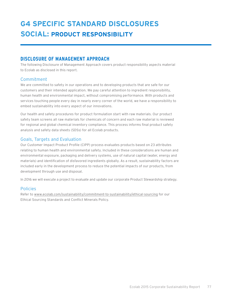# **G4 SPECIFIC STANDARD DISCLOSURES SOCIAL: PRODUCT RESPONSIBILITY**

### **DISCLOSURE OF MANAGEMENT APPROACH**

The following Disclosure of Management Approach covers product responsibility aspects material to Ecolab as disclosed in this report.

#### Commitment

We are committed to safety in our operations and to developing products that are safe for our customers and their intended application. We pay careful attention to ingredient responsibility, human health and environmental impact, without compromising performance. With products and services touching people every day in nearly every corner of the world, we have a responsibility to embed sustainability into every aspect of our innovations.

Our health and safety procedures for product formulation start with raw materials. Our product safety team screens all raw materials for chemicals of concern and each raw material is reviewed for regional and global chemical inventory compliance. This process informs final product safety analysis and safety data sheets (SDSs) for all Ecolab products.

#### Goals, Targets and Evaluation

Our Customer Impact Product Profile (CIPP) process evaluates products based on 23 attributes relating to human health and environmental safety. Included in these considerations are human and environmental exposure, packaging and delivery systems, use of natural capital (water, energy and materials) and identification of disfavored ingredients globally. As a result, sustainability factors are included early in the development process to reduce the potential impacts of our products, from development through use and disposal.

In 2016 we will execute a project to evaluate and update our corporate Product Stewardship strategy.

#### Policies

Refer to [www.ecolab.com/sustainability/commitment-to-sustainability/ethical-sourcing](http://www.ecolab.com/sustainability/commitment-to-sustainability/ethical-sourcing) for our Ethical Sourcing Standards and Conflict Minerals Policy.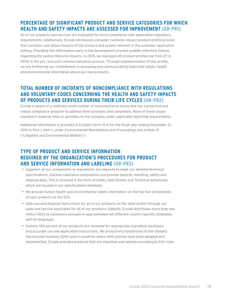## **PERCENTAGE OF SIGNIFICANT PRODUCT AND SERVICE CATEGORIES FOR WHICH HEALTH AND SAFETY IMPACTS ARE ASSESSED FOR IMPROVEMENT (GR-PR1)**

All of our products and services are evaluated for strict compliance with application regulatory requirements. Additionally, Ecolab introduced a broader customer-impact product-profile process that considers use-phase impacts of the product and system relevant in the customer application setting. Providing this information early in the development process enables informed choices regarding the system lifecycle impacts. In 2015, we managed 45 product profiles (up from 27 in 2014) in the pre- and post-commercialization process. Through implementation of this profile, we are furthering our commitment to assessing and communicating important safety, health and environmental information about our new products.

### **TOTAL NUMBER OF INCIDENTS OF NONCOMPLIANCE WITH REGULATIONS AND VOLUNTARY CODES CONCERNING THE HEALTH AND SAFETY IMPACTS OF PRODUCTS AND SERVICES DURING THEIR LIFE CYCLES (GR-PR2)**

Ecolab is aware of a relatively small number of noncompliance issues and has a proactive and robust compliance program to address them promptly and completely. None of these issues resulted in material fines or penalties to the company under applicable reporting requirements.

Additional information is provided in Ecolab's Form 10-K for the fiscal year ending December 31, 2015 in Part 1, Item 1, under Environmental Remediation and Proceedings and in Note 15 ("Litigation and Environmental Matters").

# **TYPE OF PRODUCT AND SERVICE INFORMATION REQUIRED BY THE ORGANIZATION'S PROCEDURES FOR PRODUCT AND SERVICE INFORMATION AND LABELING (GR-PR3)**

- • Suppliers of our components or ingredients are required to meet our detailed technical specifications, disclose substance composition and provide hazards, handling, safety and disposal data. This is received in the form of Safety Data Sheets and Technical datasheets which are housed in our specifications database.
- • We provide human health and environmental safety information on the top five components of each product via the SDS.
- Safe-use and disposal instructions for all of our products on the label and/or through our sales and service associates for all of our products. Globally, Ecolab distributes more than one million SDSs to customers annually in approximately 66 different country-specific templates and 43 languages.
- Entirely 100 percent of our products are reviewed for appropriate ingredient disclosure and accurate use and application instructions. We proactively transitioned to the Globally Harmonized Systems (GHS) and in countries where GHS policies have been adopted and implemented, Ecolab provides products that are classified and labeled according to GHS rules.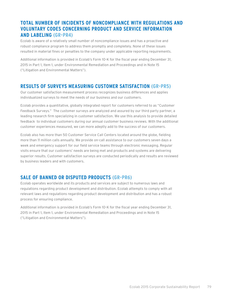# **TOTAL NUMBER OF INCIDENTS OF NONCOMPLIANCE WITH REGULATIONS AND VOLUNTARY CODES CONCERNING PRODUCT AND SERVICE INFORMATION AND LABELING (GR-PR4)**

Ecolab is aware of a relatively small number of noncompliance issues and has a proactive and robust compliance program to address them promptly and completely. None of these issues resulted in material fines or penalties to the company under applicable reporting requirements.

Additional information is provided in Ecolab's Form 10-K for the fiscal year ending December 31, 2015 in Part 1, Item 1, under Environmental Remediation and Proceedings and in Note 15 ("Litigation and Environmental Matters").

### **RESULTS OF SURVEYS MEASURING CUSTOMER SATISFACTION (GR-PR5)**

Our customer satisfaction measurement process recognizes business differences and applies individualized surveys to meet the needs of our business and our customers.

Ecolab provides a quantitative, globally integrated report for customers referred to as "Customer Feedback Surveys." The customer surveys are analyzed and assured by our third party partner, a leading research firm specializing in customer satisfaction. We use this analysis to provide detailed feedback to individual customers during our annual customer business reviews. With the additional customer experiences measured, we can more adeptly add to the success of our customers.

Ecolab also has more than 50 Customer Service Call Centers located around the globe, fielding more than 11 million calls annually. We provide on-call assistance to our customers seven days a week and emergency support for our field service teams through electronic messaging. Regular visits ensure that our customers' needs are being met and products and systems are delivering superior results. Customer satisfaction surveys are conducted periodically and results are reviewed by business leaders and with customers.

# **SALE OF BANNED OR DISPUTED PRODUCTS (GR-PR6)**

Ecolab operates worldwide and its products and services are subject to numerous laws and regulations regarding product development and distribution. Ecolab attempts to comply with all relevant laws and regulations regarding product development and distribution and has a robust process for ensuring compliance.

Additional information is provided in Ecolab's Form 10-K for the fiscal year ending December 31, 2015 in Part 1, Item 1, under Environmental Remediation and Proceedings and in Note 15 ("Litigation and Environmental Matters").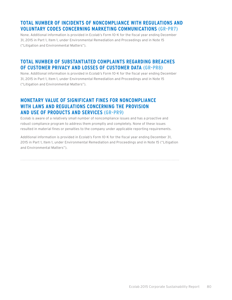# **TOTAL NUMBER OF INCIDENTS OF NONCOMPLIANCE WITH REGULATIONS AND VOLUNTARY CODES CONCERNING MARKETING COMMUNICATIONS (GR-PR7)**

None. Additional information is provided in Ecolab's Form 10-K for the fiscal year ending December 31, 2015 in Part 1, Item 1, under Environmental Remediation and Proceedings and in Note 15 ("Litigation and Environmental Matters").

### **TOTAL NUMBER OF SUBSTANTIATED COMPLAINTS REGARDING BREACHES OF CUSTOMER PRIVACY AND LOSSES OF CUSTOMER DATA (GR-PR8)**

None. Additional information is provided in Ecolab's Form 10-K for the fiscal year ending December 31, 2015 in Part 1, Item 1, under Environmental Remediation and Proceedings and in Note 15 ("Litigation and Environmental Matters").

#### **MONETARY VALUE OF SIGNIFICANT FINES FOR NONCOMPLIANCE WITH LAWS AND REGULATIONS CONCERNING THE PROVISION AND USE OF PRODUCTS AND SERVICES (GR-PR9)**

Ecolab is aware of a relatively small number of noncompliance issues and has a proactive and robust compliance program to address them promptly and completely. None of these issues resulted in material fines or penalties to the company under applicable reporting requirements.

Additional information is provided in Ecolab's Form 10-K for the fiscal year ending December 31, 2015 in Part 1, Item 1, under Environmental Remediation and Proceedings and in Note 15 ("Litigation and Environmental Matters").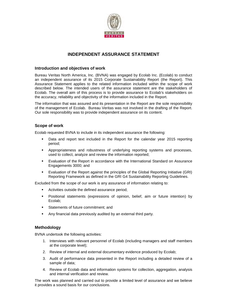

#### **INDEPENDENT ASSURANCE STATEMENT**

#### **Introduction and objectives of work**

Bureau Veritas North America, Inc. (BVNA) was engaged by Ecolab Inc. (Ecolab) to conduct an independent assurance of its 2015 Corporate Sustainability Report (the Report). This Assurance Statement applies to the related information included within the scope of work described below. The intended users of the assurance statement are the stakeholders of Ecolab. The overall aim of this process is to provide assurance to Ecolab's stakeholders on the accuracy, reliability and objectivity of the information included in the Report.

The information that was assured and its presentation in the Report are the sole responsibility of the management of Ecolab. Bureau Veritas was not involved in the drafting of the Report. Our sole responsibility was to provide independent assurance on its content.

#### **Scope of work**

Ecolab requested BVNA to include in its independent assurance the following:

- Data and report text included in the Report for the calendar year 2015 reporting period;
- Appropriateness and robustness of underlying reporting systems and processes, used to collect, analyze and review the information reported;
- Evaluation of the Report in accordance with the International Standard on Assurance Engagements 3000; and
- Evaluation of the Report against the principles of the Global Reporting Initiative (GRI) Reporting Framework as defined in the GRI G4 Sustainability Reporting Guidelines.

Excluded from the scope of our work is any assurance of information relating to:

- **EXECUTE:** Activities outside the defined assurance period;
- Positional statements (expressions of opinion, belief, aim or future intention) by Ecolab;
- **Statements of future commitment: and**
- Any financial data previously audited by an external third party.

#### **Methodology**

BVNA undertook the following activities:

- 1. Interviews with relevant personnel of Ecolab (including managers and staff members at the corporate level);
- 2. Review of internal and external documentary evidence produced by Ecolab;
- 3. Audit of performance data presented in the Report including a detailed review of a sample of data;
- 4. Review of Ecolab data and information systems for collection, aggregation, analysis and internal verification and review.

The work was planned and carried out to provide a limited level of assurance and we believe it provides a sound basis for our conclusions.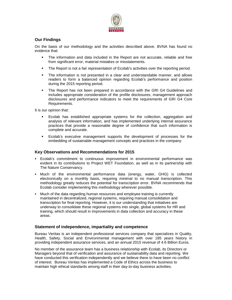

#### **Our Findings**

On the basis of our methodology and the activities described above, BVNA has found no evidence that:

- The information and data included in the Report are not accurate, reliable and free from significant error, material mistakes or misstatements.
- The Report is not a fair representation of Ecolab's activities over the reporting period.
- The information is not presented in a clear and understandable manner, and allows readers to form a balanced opinion regarding Ecolab's performance and position during the 2015 reporting period.
- The Report has not been prepared in accordance with the GRI G4 Guidelines and includes appropriate consideration of the profile disclosures, management approach disclosures and performance indicators to meet the requirements of GRI G4 Core Requirements.

It is our opinion that:

- Ecolab has established appropriate systems for the collection, aggregation and analysis of relevant information, and has implemented underlying internal assurance practices that provide a reasonable degree of confidence that such information is complete and accurate.
- Ecolab's executive management supports the development of processes for the embedding of sustainable management concepts and practices in the company.

#### **Key Observations and Recommendations for 2015**

- Ecolab's commitment to continuous improvement in environmental performance was evident in its contributions to Project WET Foundation, as well as in its partnership with The Nature Conservancy.
- Much of the environmental performance data (energy, water, GHG) is collected electronically on a monthly basis, requiring minimal to no manual transcription. This methodology greatly reduces the potential for transcription error. BVNA recommends that Ecolab consider implementing this methodology wherever possible.
- Much of the data regarding human resources and employee training is currently maintained in decentralized, regional systems, requiring manual consolidation and transcription for final reporting. However, it is our understanding that initiatives are underway to consolidate these regional systems into single, global systems for HR and training, which should result in improvements in data collection and accuracy in these areas.

#### **Statement of independence, impartiality and competence**

Bureau Veritas is an independent professional services company that specializes in Quality, Health, Safety, Social and Environmental management with over 185 years history in providing independent assurance services, and an annual 2015 revenue of 4.6 Billion Euros.

No member of the assurance team has a business relationship with Ecolab, its Directors or Managers beyond that of verification and assurance of sustainability data and reporting. We have conducted this verification independently and we believe there to have been no conflict of interest. Bureau Veritas has implemented a Code of Ethics across the business to maintain high ethical standards among staff in their day-to-day business activities.